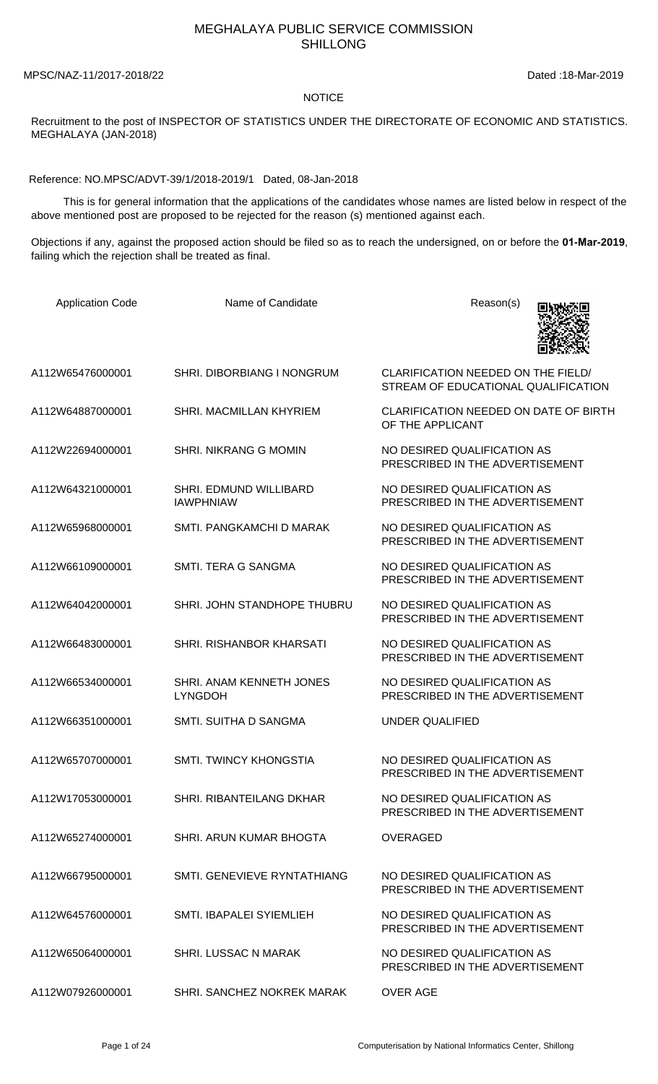## MEGHALAYA PUBLIC SERVICE COMMISSION SHILLONG

MPSC/NAZ-11/2017-2018/22 Dated :18-Mar-2019

## **NOTICE**

Recruitment to the post of INSPECTOR OF STATISTICS UNDER THE DIRECTORATE OF ECONOMIC AND STATISTICS. MEGHALAYA (JAN-2018)

Reference: NO.MPSC/ADVT-39/1/2018-2019/1 Dated, 08-Jan-2018

 This is for general information that the applications of the candidates whose names are listed below in respect of the above mentioned post are proposed to be rejected for the reason (s) mentioned against each.

Objections if any, against the proposed action should be filed so as to reach the undersigned, on or before the **01-Apr-2019**, failing which the rejection shall be treated as final.

| <b>Application Code</b> | Name of Candidate                          | Reason(s)                                                                 |
|-------------------------|--------------------------------------------|---------------------------------------------------------------------------|
| A112W65476000001        | <b>SHRI. DIBORBIANG I NONGRUM</b>          | CLARIFICATION NEEDED ON THE FIELD/<br>STREAM OF EDUCATIONAL QUALIFICATION |
| A112W64887000001        | SHRI. MACMILLAN KHYRIEM                    | CLARIFICATION NEEDED ON DATE OF BIRTH<br>OF THE APPLICANT                 |
| A112W22694000001        | <b>SHRI. NIKRANG G MOMIN</b>               | NO DESIRED QUALIFICATION AS<br>PRESCRIBED IN THE ADVERTISEMENT            |
| A112W64321000001        | SHRI. EDMUND WILLIBARD<br><b>IAWPHNIAW</b> | NO DESIRED QUALIFICATION AS<br>PRESCRIBED IN THE ADVERTISEMENT            |
| A112W65968000001        | SMTI. PANGKAMCHI D MARAK                   | NO DESIRED QUALIFICATION AS<br>PRESCRIBED IN THE ADVERTISEMENT            |
| A112W66109000001        | SMTI. TERA G SANGMA                        | NO DESIRED QUALIFICATION AS<br>PRESCRIBED IN THE ADVERTISEMENT            |
| A112W64042000001        | SHRI. JOHN STANDHOPE THUBRU                | NO DESIRED QUALIFICATION AS<br>PRESCRIBED IN THE ADVERTISEMENT            |
| A112W66483000001        | SHRI. RISHANBOR KHARSATI                   | NO DESIRED QUALIFICATION AS<br>PRESCRIBED IN THE ADVERTISEMENT            |
| A112W66534000001        | SHRI. ANAM KENNETH JONES<br><b>LYNGDOH</b> | NO DESIRED QUALIFICATION AS<br>PRESCRIBED IN THE ADVERTISEMENT            |
| A112W66351000001        | SMTI. SUITHA D SANGMA                      | <b>UNDER QUALIFIED</b>                                                    |
| A112W65707000001        | <b>SMTI. TWINCY KHONGSTIA</b>              | NO DESIRED QUALIFICATION AS<br>PRESCRIBED IN THE ADVERTISEMENT            |
| A112W17053000001        | SHRI, RIBANTEILANG DKHAR                   | NO DESIRED QUALIFICATION AS<br>PRESCRIBED IN THE ADVERTISEMENT            |
| A112W65274000001        | SHRI. ARUN KUMAR BHOGTA                    | OVERAGED                                                                  |
| A112W66795000001        | SMTI. GENEVIEVE RYNTATHIANG                | NO DESIRED OUALIFICATION AS<br>PRESCRIBED IN THE ADVERTISEMENT            |
| A112W64576000001        | <b>SMTI. IBAPALEI SYIEMLIEH</b>            | NO DESIRED QUALIFICATION AS<br>PRESCRIBED IN THE ADVERTISEMENT            |
| A112W65064000001        | SHRI. LUSSAC N MARAK                       | NO DESIRED QUALIFICATION AS<br>PRESCRIBED IN THE ADVERTISEMENT            |
| A112W07926000001        | SHRI. SANCHEZ NOKREK MARAK                 | <b>OVER AGE</b>                                                           |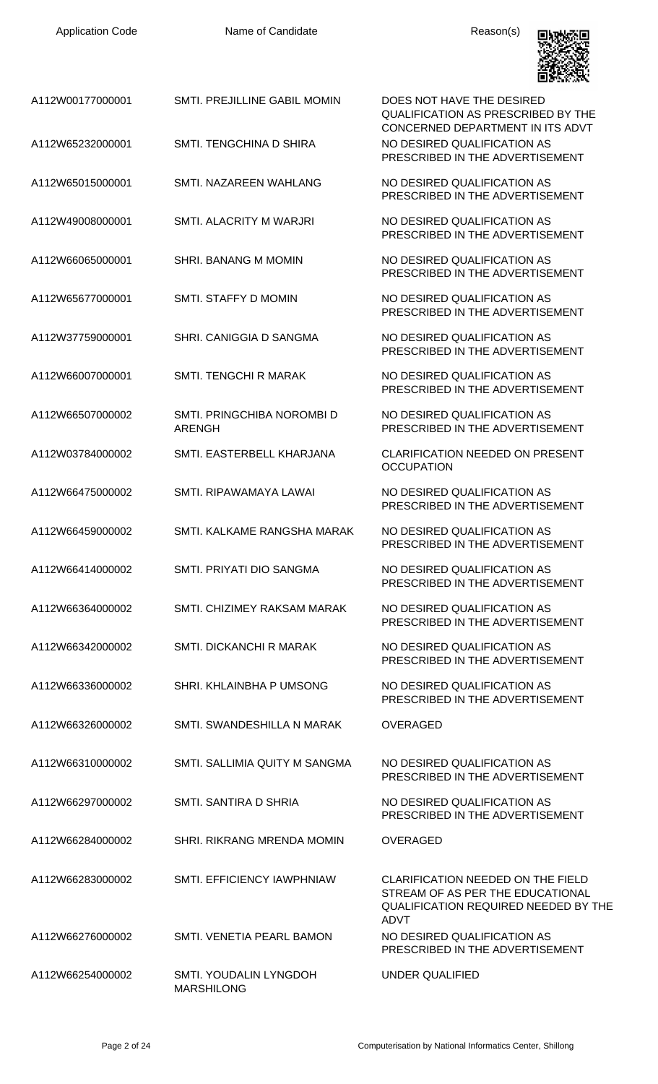

|                  |                                             | LU OKAN WANA                                                                                                                        |
|------------------|---------------------------------------------|-------------------------------------------------------------------------------------------------------------------------------------|
| A112W00177000001 | SMTI. PREJILLINE GABIL MOMIN                | DOES NOT HAVE THE DESIRED<br><b>QUALIFICATION AS PRESCRIBED BY THE</b><br>CONCERNED DEPARTMENT IN ITS ADVT                          |
| A112W65232000001 | SMTL TENGCHINA D SHIRA                      | NO DESIRED QUALIFICATION AS<br>PRESCRIBED IN THE ADVERTISEMENT                                                                      |
| A112W65015000001 | SMTI. NAZAREEN WAHLANG                      | NO DESIRED QUALIFICATION AS<br>PRESCRIBED IN THE ADVERTISEMENT                                                                      |
| A112W49008000001 | SMTI. ALACRITY M WARJRI                     | NO DESIRED QUALIFICATION AS<br>PRESCRIBED IN THE ADVERTISEMENT                                                                      |
| A112W66065000001 | SHRI. BANANG M MOMIN                        | NO DESIRED QUALIFICATION AS<br>PRESCRIBED IN THE ADVERTISEMENT                                                                      |
| A112W65677000001 | SMTI. STAFFY D MOMIN                        | NO DESIRED QUALIFICATION AS<br>PRESCRIBED IN THE ADVERTISEMENT                                                                      |
| A112W37759000001 | SHRI, CANIGGIA D SANGMA                     | NO DESIRED QUALIFICATION AS<br>PRESCRIBED IN THE ADVERTISEMENT                                                                      |
| A112W66007000001 | SMTI. TENGCHI R MARAK                       | NO DESIRED QUALIFICATION AS<br>PRESCRIBED IN THE ADVERTISEMENT                                                                      |
| A112W66507000002 | SMTI. PRINGCHIBA NOROMBI D<br><b>ARENGH</b> | NO DESIRED QUALIFICATION AS<br>PRESCRIBED IN THE ADVERTISEMENT                                                                      |
| A112W03784000002 | SMTI. EASTERBELL KHARJANA                   | <b>CLARIFICATION NEEDED ON PRESENT</b><br><b>OCCUPATION</b>                                                                         |
| A112W66475000002 | SMTI. RIPAWAMAYA LAWAI                      | NO DESIRED QUALIFICATION AS<br>PRESCRIBED IN THE ADVERTISEMENT                                                                      |
| A112W66459000002 | SMTL KALKAME RANGSHA MARAK                  | NO DESIRED QUALIFICATION AS<br>PRESCRIBED IN THE ADVERTISEMENT                                                                      |
| A112W66414000002 | SMTI. PRIYATI DIO SANGMA                    | NO DESIRED QUALIFICATION AS<br>PRESCRIBED IN THE ADVERTISEMENT                                                                      |
| A112W66364000002 | SMTI. CHIZIMEY RAKSAM MARAK                 | NO DESIRED QUALIFICATION AS<br>PRESCRIBED IN THE ADVERTISEMENT                                                                      |
| A112W66342000002 | <b>SMTI. DICKANCHI R MARAK</b>              | NO DESIRED QUALIFICATION AS<br>PRESCRIBED IN THE ADVERTISEMENT                                                                      |
| A112W66336000002 | SHRI. KHLAINBHA P UMSONG                    | NO DESIRED QUALIFICATION AS<br>PRESCRIBED IN THE ADVERTISEMENT                                                                      |
| A112W66326000002 | SMTI. SWANDESHILLA N MARAK                  | <b>OVERAGED</b>                                                                                                                     |
| A112W66310000002 | SMTI. SALLIMIA QUITY M SANGMA               | NO DESIRED QUALIFICATION AS<br>PRESCRIBED IN THE ADVERTISEMENT                                                                      |
| A112W66297000002 | SMTI. SANTIRA D SHRIA                       | NO DESIRED QUALIFICATION AS<br>PRESCRIBED IN THE ADVERTISEMENT                                                                      |
| A112W66284000002 | SHRI. RIKRANG MRENDA MOMIN                  | <b>OVERAGED</b>                                                                                                                     |
| A112W66283000002 | SMTI. EFFICIENCY IAWPHNIAW                  | CLARIFICATION NEEDED ON THE FIELD<br>STREAM OF AS PER THE EDUCATIONAL<br><b>QUALIFICATION REQUIRED NEEDED BY THE</b><br><b>ADVT</b> |
| A112W66276000002 | SMTI. VENETIA PEARL BAMON                   | NO DESIRED QUALIFICATION AS<br>PRESCRIBED IN THE ADVERTISEMENT                                                                      |
| A112W66254000002 | SMTI. YOUDALIN LYNGDOH<br><b>MARSHILONG</b> | UNDER QUALIFIED                                                                                                                     |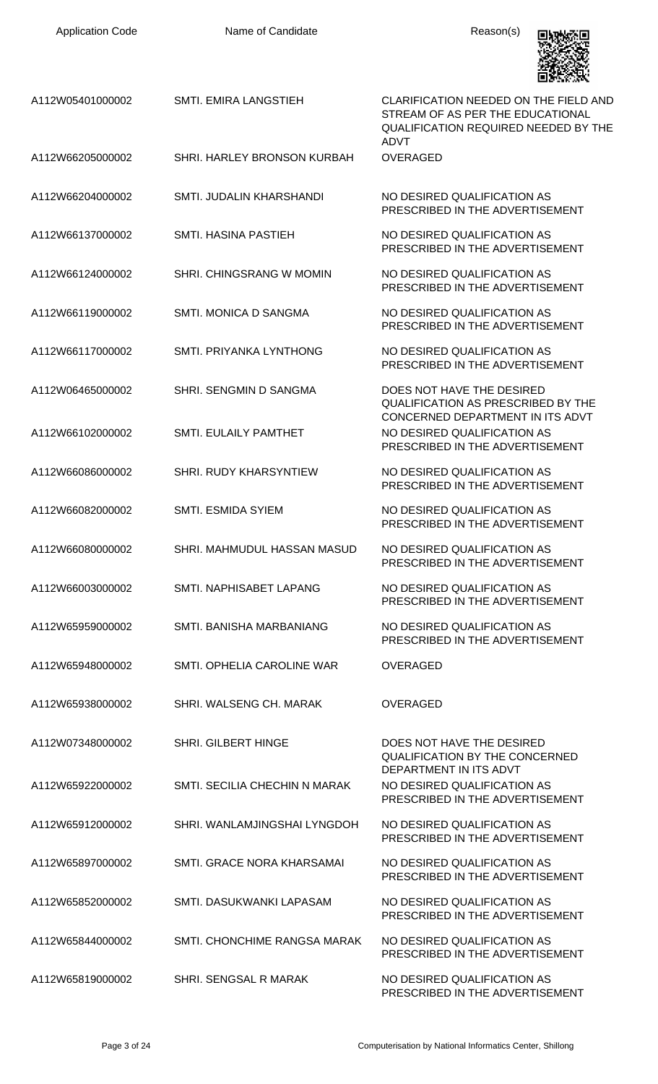| A112W05401000002 | SMTI. EMIRA LANGSTIEH         | CLARIFICATION NEEDED ON THE FIELD AND<br>STREAM OF AS PER THE EDUCATIONAL<br><b>QUALIFICATION REQUIRED NEEDED BY THE</b><br><b>ADVT</b> |
|------------------|-------------------------------|-----------------------------------------------------------------------------------------------------------------------------------------|
| A112W66205000002 | SHRI. HARLEY BRONSON KURBAH   | <b>OVERAGED</b>                                                                                                                         |
| A112W66204000002 | SMTI. JUDALIN KHARSHANDI      | NO DESIRED QUALIFICATION AS<br>PRESCRIBED IN THE ADVERTISEMENT                                                                          |
| A112W66137000002 | <b>SMTI. HASINA PASTIEH</b>   | NO DESIRED QUALIFICATION AS<br>PRESCRIBED IN THE ADVERTISEMENT                                                                          |
| A112W66124000002 | SHRI. CHINGSRANG W MOMIN      | NO DESIRED QUALIFICATION AS<br>PRESCRIBED IN THE ADVERTISEMENT                                                                          |
| A112W66119000002 | SMTI, MONICA D SANGMA         | NO DESIRED QUALIFICATION AS<br>PRESCRIBED IN THE ADVERTISEMENT                                                                          |
| A112W66117000002 | SMTI, PRIYANKA LYNTHONG       | NO DESIRED QUALIFICATION AS<br>PRESCRIBED IN THE ADVERTISEMENT                                                                          |
| A112W06465000002 | SHRI. SENGMIN D SANGMA        | DOES NOT HAVE THE DESIRED<br>QUALIFICATION AS PRESCRIBED BY THE                                                                         |
| A112W66102000002 | <b>SMTI. EULAILY PAMTHET</b>  | CONCERNED DEPARTMENT IN ITS ADVT<br>NO DESIRED QUALIFICATION AS<br>PRESCRIBED IN THE ADVERTISEMENT                                      |
| A112W66086000002 | SHRI. RUDY KHARSYNTIEW        | NO DESIRED QUALIFICATION AS<br>PRESCRIBED IN THE ADVERTISEMENT                                                                          |
| A112W66082000002 | <b>SMTI. ESMIDA SYIEM</b>     | NO DESIRED QUALIFICATION AS<br>PRESCRIBED IN THE ADVERTISEMENT                                                                          |
| A112W66080000002 | SHRI. MAHMUDUL HASSAN MASUD   | NO DESIRED OUALIFICATION AS<br>PRESCRIBED IN THE ADVERTISEMENT                                                                          |
| A112W66003000002 | SMTI. NAPHISABET LAPANG       | NO DESIRED QUALIFICATION AS<br>PRESCRIBED IN THE ADVERTISEMENT                                                                          |
| A112W65959000002 | SMTI. BANISHA MARBANIANG      | NO DESIRED QUALIFICATION AS<br>PRESCRIBED IN THE ADVERTISEMENT                                                                          |
| A112W65948000002 | SMTI, OPHELIA CAROLINE WAR    | OVERAGED                                                                                                                                |
| A112W65938000002 | SHRI. WALSENG CH. MARAK       | <b>OVERAGED</b>                                                                                                                         |
| A112W07348000002 | <b>SHRI. GILBERT HINGE</b>    | DOES NOT HAVE THE DESIRED<br><b>QUALIFICATION BY THE CONCERNED</b>                                                                      |
| A112W65922000002 | SMTI. SECILIA CHECHIN N MARAK | DEPARTMENT IN ITS ADVT<br>NO DESIRED QUALIFICATION AS<br>PRESCRIBED IN THE ADVERTISEMENT                                                |
| A112W65912000002 | SHRI. WANLAMJINGSHAI LYNGDOH  | NO DESIRED QUALIFICATION AS<br>PRESCRIBED IN THE ADVERTISEMENT                                                                          |
| A112W65897000002 | SMTI. GRACE NORA KHARSAMAI    | NO DESIRED QUALIFICATION AS<br>PRESCRIBED IN THE ADVERTISEMENT                                                                          |
| A112W65852000002 | SMTI. DASUKWANKI LAPASAM      | NO DESIRED QUALIFICATION AS<br>PRESCRIBED IN THE ADVERTISEMENT                                                                          |
| A112W65844000002 | SMTI. CHONCHIME RANGSA MARAK  | NO DESIRED QUALIFICATION AS<br>PRESCRIBED IN THE ADVERTISEMENT                                                                          |
| A112W65819000002 | SHRI. SENGSAL R MARAK         | NO DESIRED QUALIFICATION AS<br>PRESCRIBED IN THE ADVERTISEMENT                                                                          |

**BANKER**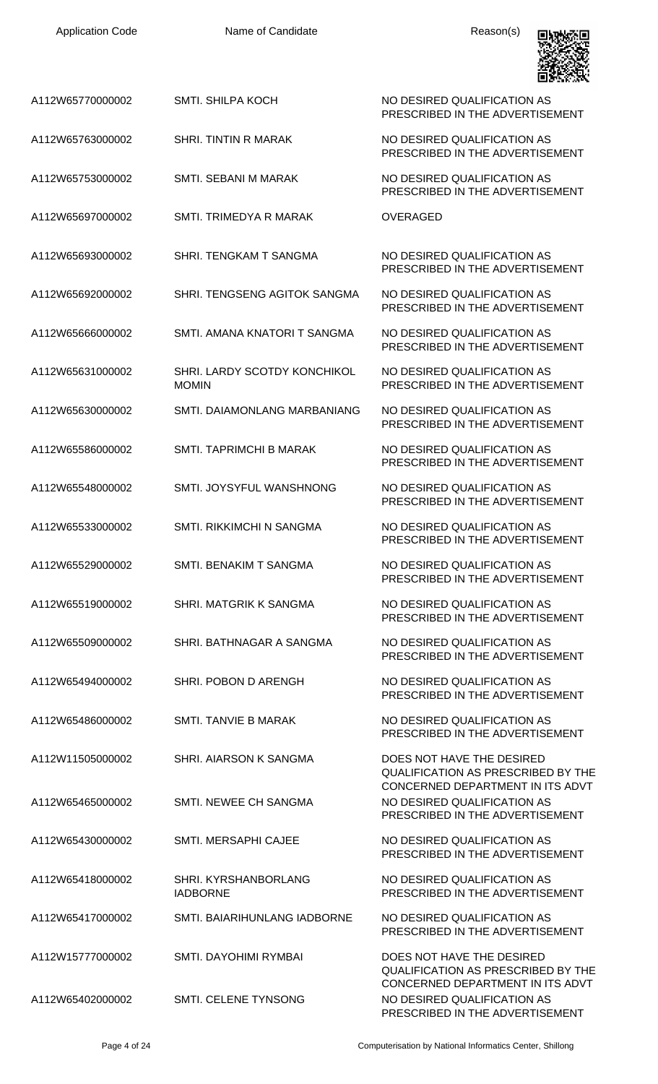Name of Candidate **Reason(s)** 



| A112W65770000002 | SMTI. SHILPA KOCH                                   | NO DESIRED QUALIFICATION AS<br>PRESCRIBED IN THE ADVERTISEMENT                                             |
|------------------|-----------------------------------------------------|------------------------------------------------------------------------------------------------------------|
| A112W65763000002 | <b>SHRI. TINTIN R MARAK</b>                         | NO DESIRED QUALIFICATION AS<br>PRESCRIBED IN THE ADVERTISEMENT                                             |
| A112W65753000002 | SMTI. SEBANI M MARAK                                | NO DESIRED QUALIFICATION AS<br>PRESCRIBED IN THE ADVERTISEMENT                                             |
| A112W65697000002 | SMTI. TRIMEDYA R MARAK                              | <b>OVERAGED</b>                                                                                            |
| A112W65693000002 | SHRI. TENGKAM T SANGMA                              | NO DESIRED QUALIFICATION AS<br>PRESCRIBED IN THE ADVERTISEMENT                                             |
| A112W65692000002 | SHRI. TENGSENG AGITOK SANGMA                        | NO DESIRED QUALIFICATION AS<br>PRESCRIBED IN THE ADVERTISEMENT                                             |
| A112W65666000002 | SMTI. AMANA KNATORI T SANGMA                        | NO DESIRED QUALIFICATION AS<br>PRESCRIBED IN THE ADVERTISEMENT                                             |
| A112W65631000002 | <b>SHRI. LARDY SCOTDY KONCHIKOL</b><br><b>MOMIN</b> | NO DESIRED QUALIFICATION AS<br>PRESCRIBED IN THE ADVERTISEMENT                                             |
| A112W65630000002 | SMTI. DAIAMONLANG MARBANIANG                        | NO DESIRED QUALIFICATION AS<br>PRESCRIBED IN THE ADVERTISEMENT                                             |
| A112W65586000002 | SMTI. TAPRIMCHI B MARAK                             | NO DESIRED QUALIFICATION AS<br>PRESCRIBED IN THE ADVERTISEMENT                                             |
| A112W65548000002 | SMTI. JOYSYFUL WANSHNONG                            | NO DESIRED QUALIFICATION AS<br>PRESCRIBED IN THE ADVERTISEMENT                                             |
| A112W65533000002 | <b>SMTI. RIKKIMCHI N SANGMA</b>                     | NO DESIRED QUALIFICATION AS<br>PRESCRIBED IN THE ADVERTISEMENT                                             |
| A112W65529000002 | SMTI. BENAKIM T SANGMA                              | NO DESIRED QUALIFICATION AS<br>PRESCRIBED IN THE ADVERTISEMENT                                             |
| A112W65519000002 | SHRI. MATGRIK K SANGMA                              | NO DESIRED QUALIFICATION AS<br>PRESCRIBED IN THE ADVERTISEMENT                                             |
| A112W65509000002 | SHRI. BATHNAGAR A SANGMA                            | NO DESIRED QUALIFICATION AS<br>PRESCRIBED IN THE ADVERTISEMENT                                             |
| A112W65494000002 | SHRI. POBON D ARENGH                                | NO DESIRED QUALIFICATION AS<br>PRESCRIBED IN THE ADVERTISEMENT                                             |
| A112W65486000002 | SMTI. TANVIE B MARAK                                | NO DESIRED QUALIFICATION AS<br>PRESCRIBED IN THE ADVERTISEMENT                                             |
| A112W11505000002 | SHRI. AIARSON K SANGMA                              | DOES NOT HAVE THE DESIRED<br><b>QUALIFICATION AS PRESCRIBED BY THE</b><br>CONCERNED DEPARTMENT IN ITS ADVT |
| A112W65465000002 | SMTI. NEWEE CH SANGMA                               | NO DESIRED QUALIFICATION AS<br>PRESCRIBED IN THE ADVERTISEMENT                                             |
| A112W65430000002 | <b>SMTI. MERSAPHI CAJEE</b>                         | NO DESIRED QUALIFICATION AS<br>PRESCRIBED IN THE ADVERTISEMENT                                             |
| A112W65418000002 | SHRI. KYRSHANBORLANG<br><b>IADBORNE</b>             | NO DESIRED QUALIFICATION AS<br>PRESCRIBED IN THE ADVERTISEMENT                                             |
| A112W65417000002 | SMTI. BAIARIHUNLANG IADBORNE                        | NO DESIRED QUALIFICATION AS<br>PRESCRIBED IN THE ADVERTISEMENT                                             |
| A112W15777000002 | SMTI. DAYOHIMI RYMBAI                               | DOES NOT HAVE THE DESIRED<br><b>QUALIFICATION AS PRESCRIBED BY THE</b>                                     |
| A112W65402000002 | SMTI. CELENE TYNSONG                                | CONCERNED DEPARTMENT IN ITS ADVT<br>NO DESIRED QUALIFICATION AS<br>PRESCRIBED IN THE ADVERTISEMENT         |

Page 4 of 24 Computerisation by National Informatics Center, Shillong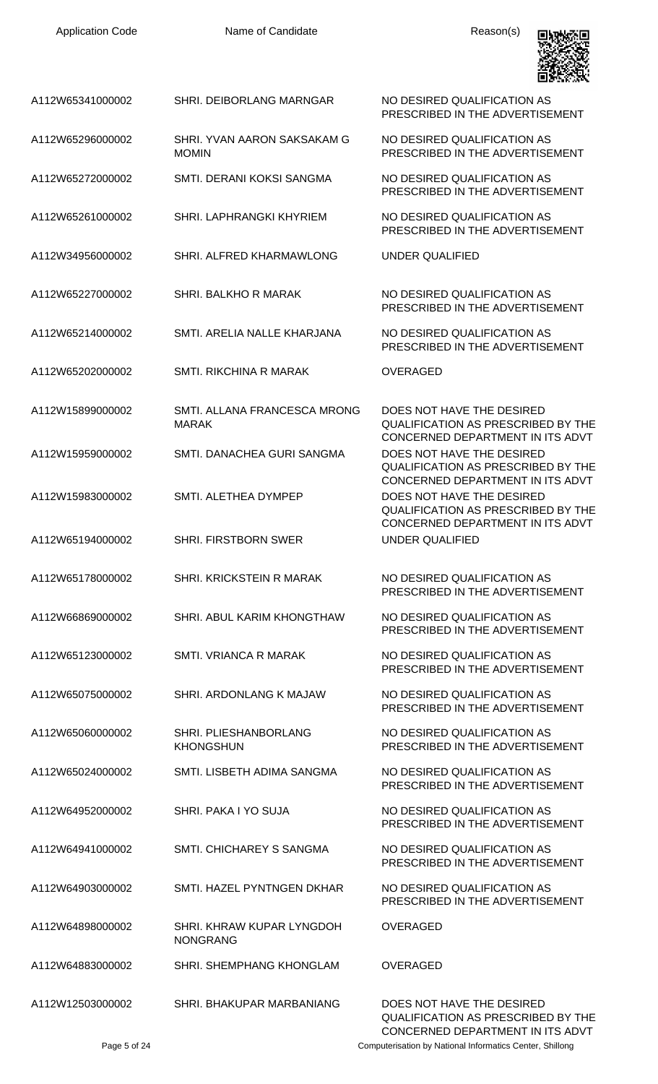| <b>Application Code</b> | Name of Candidate                            | Reason(s)                                                                                                  |
|-------------------------|----------------------------------------------|------------------------------------------------------------------------------------------------------------|
| A112W65341000002        | SHRI. DEIBORLANG MARNGAR                     | NO DESIRED QUALIFICATION AS<br>PRESCRIBED IN THE ADVERTISEMENT                                             |
| A112W65296000002        | SHRI. YVAN AARON SAKSAKAM G<br><b>MOMIN</b>  | NO DESIRED QUALIFICATION AS<br>PRESCRIBED IN THE ADVERTISEMENT                                             |
| A112W65272000002        | SMTI. DERANI KOKSI SANGMA                    | NO DESIRED QUALIFICATION AS<br>PRESCRIBED IN THE ADVERTISEMENT                                             |
| A112W65261000002        | SHRI. LAPHRANGKI KHYRIEM                     | NO DESIRED QUALIFICATION AS<br>PRESCRIBED IN THE ADVERTISEMENT                                             |
| A112W34956000002        | SHRI. ALFRED KHARMAWLONG                     | UNDER QUALIFIED                                                                                            |
| A112W65227000002        | SHRI. BALKHO R MARAK                         | NO DESIRED QUALIFICATION AS<br>PRESCRIBED IN THE ADVERTISEMENT                                             |
| A112W65214000002        | SMTI. ARELIA NALLE KHARJANA                  | NO DESIRED QUALIFICATION AS<br>PRESCRIBED IN THE ADVERTISEMENT                                             |
| A112W65202000002        | <b>SMTI. RIKCHINA R MARAK</b>                | <b>OVERAGED</b>                                                                                            |
| A112W15899000002        | SMTI. ALLANA FRANCESCA MRONG<br><b>MARAK</b> | DOES NOT HAVE THE DESIRED<br><b>QUALIFICATION AS PRESCRIBED BY THE</b><br>CONCERNED DEPARTMENT IN ITS ADVT |
| A112W15959000002        | SMTI. DANACHEA GURI SANGMA                   | DOES NOT HAVE THE DESIRED<br><b>QUALIFICATION AS PRESCRIBED BY THE</b>                                     |
| A112W15983000002        | SMTI. ALETHEA DYMPEP                         | CONCERNED DEPARTMENT IN ITS ADVT<br>DOES NOT HAVE THE DESIRED<br><b>QUALIFICATION AS PRESCRIBED BY THE</b> |
| A112W65194000002        | <b>SHRI. FIRSTBORN SWER</b>                  | CONCERNED DEPARTMENT IN ITS ADVT<br>UNDER QUALIFIED                                                        |
| A112W65178000002        | SHRI, KRICKSTEIN R MARAK                     | NO DESIRED QUALIFICATION AS<br>PRESCRIBED IN THE ADVERTISEMENT                                             |
| A112W66869000002        | SHRI. ABUL KARIM KHONGTHAW                   | NO DESIRED QUALIFICATION AS<br>PRESCRIBED IN THE ADVERTISEMENT                                             |
| A112W65123000002        | SMTI, VRIANCA R MARAK                        | NO DESIRED QUALIFICATION AS<br>PRESCRIBED IN THE ADVERTISEMENT                                             |
| A112W65075000002        | SHRI. ARDONLANG K MAJAW                      | NO DESIRED QUALIFICATION AS<br>PRESCRIBED IN THE ADVERTISEMENT                                             |
| A112W65060000002        | SHRI. PLIESHANBORLANG<br><b>KHONGSHUN</b>    | NO DESIRED QUALIFICATION AS<br>PRESCRIBED IN THE ADVERTISEMENT                                             |
| A112W65024000002        | SMTI. LISBETH ADIMA SANGMA                   | NO DESIRED QUALIFICATION AS<br>PRESCRIBED IN THE ADVERTISEMENT                                             |
| A112W64952000002        | SHRI, PAKA I YO SUJA                         | NO DESIRED QUALIFICATION AS<br>PRESCRIBED IN THE ADVERTISEMENT                                             |
| A112W64941000002        | SMTI, CHICHAREY S SANGMA                     | NO DESIRED QUALIFICATION AS<br>PRESCRIBED IN THE ADVERTISEMENT                                             |
| A112W64903000002        | SMTI. HAZEL PYNTNGEN DKHAR                   | NO DESIRED QUALIFICATION AS<br>PRESCRIBED IN THE ADVERTISEMENT                                             |
| A112W64898000002        | SHRI. KHRAW KUPAR LYNGDOH<br><b>NONGRANG</b> | <b>OVERAGED</b>                                                                                            |
| A112W64883000002        | SHRI. SHEMPHANG KHONGLAM                     | OVERAGED                                                                                                   |
| A112W12503000002        | SHRI. BHAKUPAR MARBANIANG                    | DOES NOT HAVE THE DESIRED<br>QUALIFICATION AS PRESCRIBED BY THE                                            |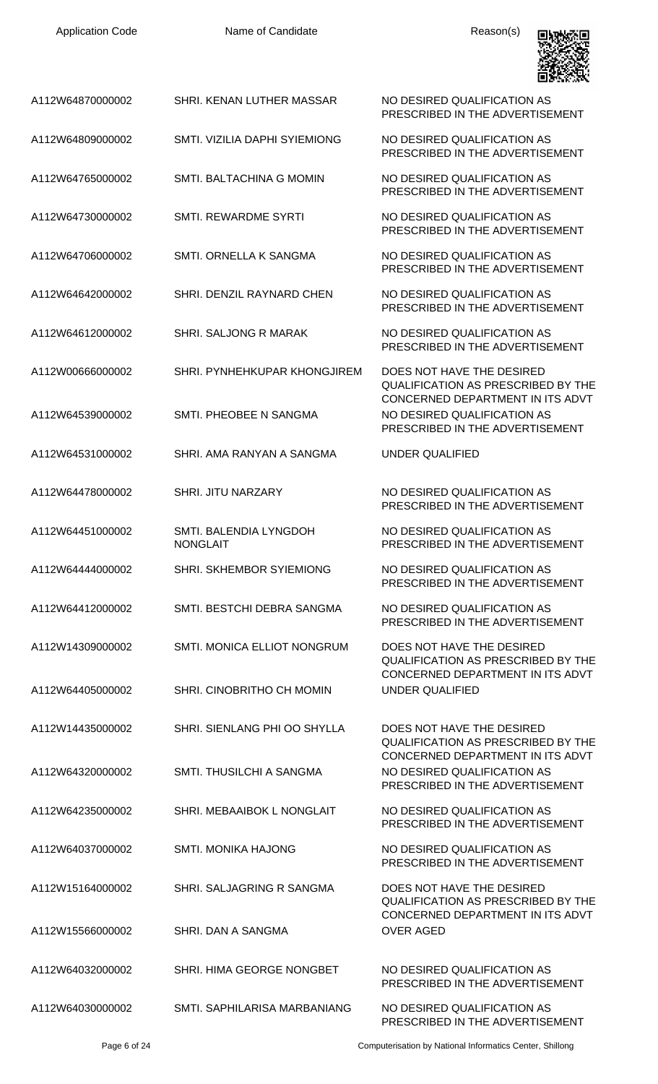| A112W64870000002 | SHRI, KENAN LUTHER MASSAR                 | NO DESIRED QUALIFICATION AS<br>PRESCRIBED IN THE ADVERTISEMENT                                             |
|------------------|-------------------------------------------|------------------------------------------------------------------------------------------------------------|
| A112W64809000002 | SMTI. VIZILIA DAPHI SYIEMIONG             | NO DESIRED QUALIFICATION AS<br>PRESCRIBED IN THE ADVERTISEMENT                                             |
| A112W64765000002 | SMTI. BALTACHINA G MOMIN                  | NO DESIRED QUALIFICATION AS<br>PRESCRIBED IN THE ADVERTISEMENT                                             |
| A112W64730000002 | <b>SMTI. REWARDME SYRTI</b>               | NO DESIRED QUALIFICATION AS<br>PRESCRIBED IN THE ADVERTISEMENT                                             |
| A112W64706000002 | SMTI. ORNELLA K SANGMA                    | NO DESIRED QUALIFICATION AS<br>PRESCRIBED IN THE ADVERTISEMENT                                             |
| A112W64642000002 | SHRI. DENZIL RAYNARD CHEN                 | NO DESIRED QUALIFICATION AS<br>PRESCRIBED IN THE ADVERTISEMENT                                             |
| A112W64612000002 | <b>SHRI. SALJONG R MARAK</b>              | NO DESIRED QUALIFICATION AS<br>PRESCRIBED IN THE ADVERTISEMENT                                             |
| A112W00666000002 | SHRI. PYNHEHKUPAR KHONGJIREM              | DOES NOT HAVE THE DESIRED<br><b>QUALIFICATION AS PRESCRIBED BY THE</b>                                     |
| A112W64539000002 | SMTI. PHEOBEE N SANGMA                    | CONCERNED DEPARTMENT IN ITS ADVT<br>NO DESIRED QUALIFICATION AS<br>PRESCRIBED IN THE ADVERTISEMENT         |
| A112W64531000002 | SHRI, AMA RANYAN A SANGMA                 | UNDER QUALIFIED                                                                                            |
| A112W64478000002 | <b>SHRI. JITU NARZARY</b>                 | NO DESIRED QUALIFICATION AS<br>PRESCRIBED IN THE ADVERTISEMENT                                             |
| A112W64451000002 | SMTI. BALENDIA LYNGDOH<br><b>NONGLAIT</b> | NO DESIRED QUALIFICATION AS<br>PRESCRIBED IN THE ADVERTISEMENT                                             |
| A112W64444000002 | SHRI. SKHEMBOR SYIEMIONG                  | NO DESIRED QUALIFICATION AS<br>PRESCRIBED IN THE ADVERTISEMENT                                             |
| A112W64412000002 | SMTI. BESTCHI DEBRA SANGMA                | NO DESIRED QUALIFICATION AS<br>PRESCRIBED IN THE ADVERTISEMENT                                             |
| A112W14309000002 | SMTI. MONICA ELLIOT NONGRUM               | DOES NOT HAVE THE DESIRED<br><b>QUALIFICATION AS PRESCRIBED BY THE</b>                                     |
| A112W64405000002 | SHRI. CINOBRITHO CH MOMIN                 | CONCERNED DEPARTMENT IN ITS ADVT<br><b>UNDER QUALIFIED</b>                                                 |
| A112W14435000002 | SHRI. SIENLANG PHI OO SHYLLA              | DOES NOT HAVE THE DESIRED<br><b>QUALIFICATION AS PRESCRIBED BY THE</b><br>CONCERNED DEPARTMENT IN ITS ADVT |
| A112W64320000002 | SMTI. THUSILCHI A SANGMA                  | NO DESIRED QUALIFICATION AS<br>PRESCRIBED IN THE ADVERTISEMENT                                             |
| A112W64235000002 | SHRI. MEBAAIBOK L NONGLAIT                | NO DESIRED QUALIFICATION AS<br>PRESCRIBED IN THE ADVERTISEMENT                                             |
| A112W64037000002 | <b>SMTI. MONIKA HAJONG</b>                | NO DESIRED QUALIFICATION AS<br>PRESCRIBED IN THE ADVERTISEMENT                                             |
| A112W15164000002 | SHRI. SALJAGRING R SANGMA                 | DOES NOT HAVE THE DESIRED<br>QUALIFICATION AS PRESCRIBED BY THE<br>CONCERNED DEPARTMENT IN ITS ADVT        |
| A112W15566000002 | SHRI. DAN A SANGMA                        | <b>OVER AGED</b>                                                                                           |
| A112W64032000002 | SHRI. HIMA GEORGE NONGBET                 | NO DESIRED QUALIFICATION AS<br>PRESCRIBED IN THE ADVERTISEMENT                                             |
| A112W64030000002 | SMTI. SAPHILARISA MARBANIANG              | NO DESIRED QUALIFICATION AS<br>PRESCRIBED IN THE ADVERTISEMENT                                             |

回收燃回

Page 6 of 24 Computerisation by National Informatics Center, Shillong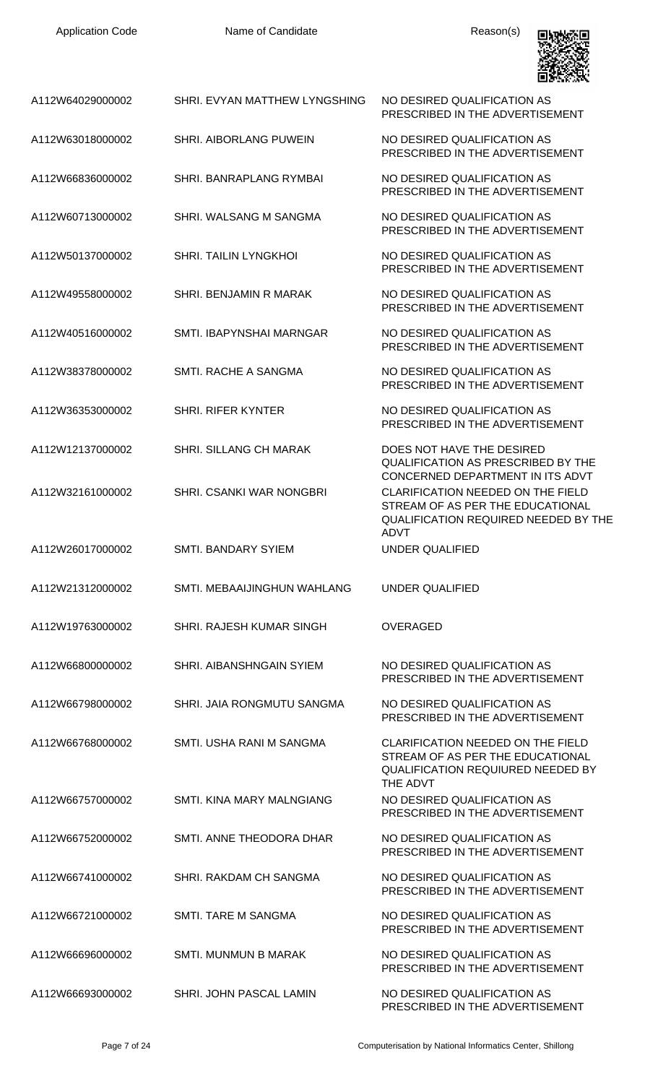

| A112W64029000002 | SHRI. EVYAN MATTHEW LYNGSHING | NO DESIRED QUALIFICATION AS<br>PRESCRIBED IN THE ADVERTISEMENT                                                                                                  |
|------------------|-------------------------------|-----------------------------------------------------------------------------------------------------------------------------------------------------------------|
| A112W63018000002 | <b>SHRI. AIBORLANG PUWEIN</b> | NO DESIRED QUALIFICATION AS<br>PRESCRIBED IN THE ADVERTISEMENT                                                                                                  |
| A112W66836000002 | SHRI. BANRAPLANG RYMBAI       | NO DESIRED QUALIFICATION AS<br>PRESCRIBED IN THE ADVERTISEMENT                                                                                                  |
| A112W60713000002 | SHRI. WALSANG M SANGMA        | NO DESIRED QUALIFICATION AS<br>PRESCRIBED IN THE ADVERTISEMENT                                                                                                  |
| A112W50137000002 | <b>SHRI. TAILIN LYNGKHOL</b>  | NO DESIRED QUALIFICATION AS<br>PRESCRIBED IN THE ADVERTISEMENT                                                                                                  |
| A112W49558000002 | SHRI. BENJAMIN R MARAK        | NO DESIRED QUALIFICATION AS<br>PRESCRIBED IN THE ADVERTISEMENT                                                                                                  |
| A112W40516000002 | SMTI. IBAPYNSHAI MARNGAR      | NO DESIRED QUALIFICATION AS<br>PRESCRIBED IN THE ADVERTISEMENT                                                                                                  |
| A112W38378000002 | SMTI, RACHE A SANGMA          | NO DESIRED OUALIFICATION AS<br>PRESCRIBED IN THE ADVERTISEMENT                                                                                                  |
| A112W36353000002 | <b>SHRI. RIFER KYNTER</b>     | NO DESIRED QUALIFICATION AS<br>PRESCRIBED IN THE ADVERTISEMENT                                                                                                  |
| A112W12137000002 | <b>SHRI. SILLANG CH MARAK</b> | DOES NOT HAVE THE DESIRED<br><b>QUALIFICATION AS PRESCRIBED BY THE</b>                                                                                          |
| A112W32161000002 | SHRI. CSANKI WAR NONGBRI      | CONCERNED DEPARTMENT IN ITS ADVT<br><b>CLARIFICATION NEEDED ON THE FIELD</b><br>STREAM OF AS PER THE EDUCATIONAL<br><b>QUALIFICATION REQUIRED NEEDED BY THE</b> |
| A112W26017000002 | <b>SMTI. BANDARY SYIEM</b>    | <b>ADVT</b><br>UNDER QUALIFIED                                                                                                                                  |
| A112W21312000002 | SMTI. MEBAAIJINGHUN WAHLANG   | UNDER QUALIFIED                                                                                                                                                 |
| A112W19763000002 | SHRI. RAJESH KUMAR SINGH      | <b>OVERAGED</b>                                                                                                                                                 |
| A112W66800000002 | SHRI, AIBANSHNGAIN SYIEM      | NO DESIRED OUALIFICATION AS<br>PRESCRIBED IN THE ADVERTISEMENT                                                                                                  |
| A112W66798000002 | SHRI. JAIA RONGMUTU SANGMA    | NO DESIRED QUALIFICATION AS<br>PRESCRIBED IN THE ADVERTISEMENT                                                                                                  |
| A112W66768000002 | SMTI. USHA RANI M SANGMA      | CLARIFICATION NEEDED ON THE FIELD<br>STREAM OF AS PER THE EDUCATIONAL<br><b>QUALIFICATION REQUIURED NEEDED BY</b><br>THE ADVT                                   |
| A112W66757000002 | SMTI, KINA MARY MALNGIANG     | NO DESIRED QUALIFICATION AS<br>PRESCRIBED IN THE ADVERTISEMENT                                                                                                  |
| A112W66752000002 | SMTI, ANNE THEODORA DHAR      | NO DESIRED QUALIFICATION AS<br>PRESCRIBED IN THE ADVERTISEMENT                                                                                                  |
| A112W66741000002 | SHRI. RAKDAM CH SANGMA        | NO DESIRED QUALIFICATION AS<br>PRESCRIBED IN THE ADVERTISEMENT                                                                                                  |
| A112W66721000002 | SMTI. TARE M SANGMA           | NO DESIRED QUALIFICATION AS<br>PRESCRIBED IN THE ADVERTISEMENT                                                                                                  |
| A112W66696000002 | <b>SMTI. MUNMUN B MARAK</b>   | NO DESIRED OUALIFICATION AS<br>PRESCRIBED IN THE ADVERTISEMENT                                                                                                  |
| A112W66693000002 | SHRI. JOHN PASCAL LAMIN       | NO DESIRED QUALIFICATION AS<br>PRESCRIBED IN THE ADVERTISEMENT                                                                                                  |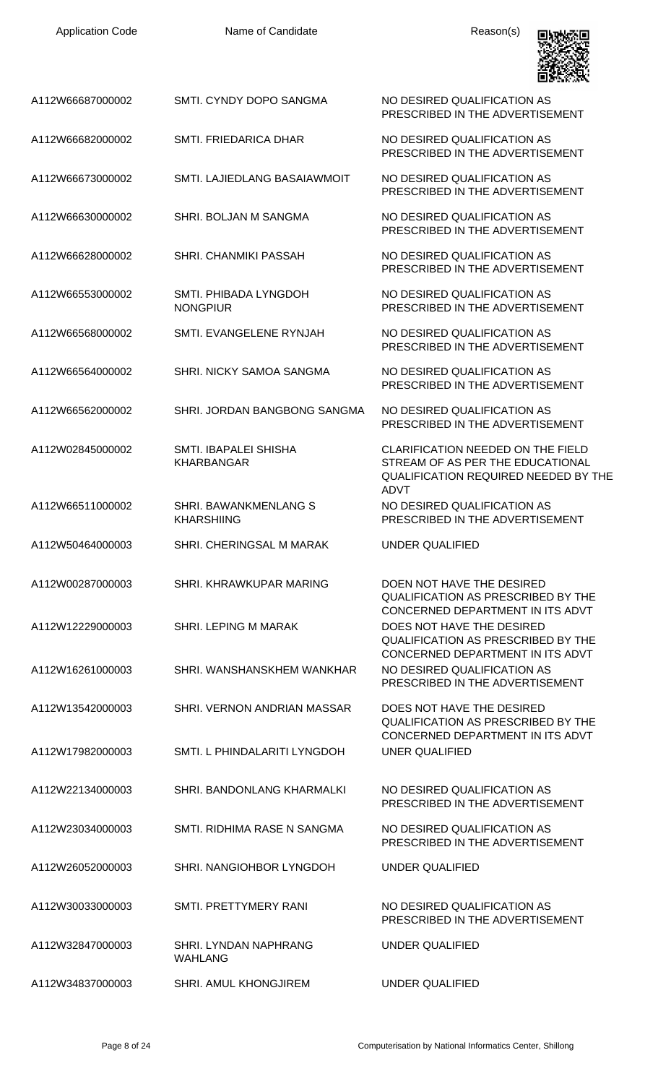| A112W66687000002 | SMTI. CYNDY DOPO SANGMA                           | NO DESIRED QUALIFICATION AS<br>PRESCRIBED IN THE ADVERTISEMENT                                                                             |
|------------------|---------------------------------------------------|--------------------------------------------------------------------------------------------------------------------------------------------|
| A112W66682000002 | SMTI. FRIEDARICA DHAR                             | NO DESIRED QUALIFICATION AS<br>PRESCRIBED IN THE ADVERTISEMENT                                                                             |
| A112W66673000002 | SMTI. LAJIEDLANG BASAIAWMOIT                      | NO DESIRED QUALIFICATION AS<br>PRESCRIBED IN THE ADVERTISEMENT                                                                             |
| A112W66630000002 | SHRI. BOLJAN M SANGMA                             | NO DESIRED QUALIFICATION AS<br>PRESCRIBED IN THE ADVERTISEMENT                                                                             |
| A112W66628000002 | SHRI. CHANMIKI PASSAH                             | NO DESIRED QUALIFICATION AS<br>PRESCRIBED IN THE ADVERTISEMENT                                                                             |
| A112W66553000002 | SMTI. PHIBADA LYNGDOH<br><b>NONGPIUR</b>          | NO DESIRED QUALIFICATION AS<br>PRESCRIBED IN THE ADVERTISEMENT                                                                             |
| A112W66568000002 | SMTL EVANGELENE RYNJAH                            | NO DESIRED QUALIFICATION AS<br>PRESCRIBED IN THE ADVERTISEMENT                                                                             |
| A112W66564000002 | SHRI. NICKY SAMOA SANGMA                          | NO DESIRED QUALIFICATION AS<br>PRESCRIBED IN THE ADVERTISEMENT                                                                             |
| A112W66562000002 | SHRI. JORDAN BANGBONG SANGMA                      | NO DESIRED QUALIFICATION AS<br>PRESCRIBED IN THE ADVERTISEMENT                                                                             |
| A112W02845000002 | SMTI. IBAPALEI SHISHA<br><b>KHARBANGAR</b>        | <b>CLARIFICATION NEEDED ON THE FIELD</b><br>STREAM OF AS PER THE EDUCATIONAL<br><b>QUALIFICATION REQUIRED NEEDED BY THE</b><br><b>ADVT</b> |
| A112W66511000002 | <b>SHRI. BAWANKMENLANG S</b><br><b>KHARSHIING</b> | NO DESIRED QUALIFICATION AS<br>PRESCRIBED IN THE ADVERTISEMENT                                                                             |
| A112W50464000003 | SHRI. CHERINGSAL M MARAK                          | <b>UNDER QUALIFIED</b>                                                                                                                     |
| A112W00287000003 | SHRI. KHRAWKUPAR MARING                           | DOEN NOT HAVE THE DESIRED<br><b>QUALIFICATION AS PRESCRIBED BY THE</b><br>CONCERNED DEPARTMENT IN ITS ADVT                                 |
| A112W12229000003 | SHRI. LEPING M MARAK                              | DOES NOT HAVE THE DESIRED<br><b>QUALIFICATION AS PRESCRIBED BY THE</b><br>CONCERNED DEPARTMENT IN ITS ADVT                                 |
| A112W16261000003 | SHRI. WANSHANSKHEM WANKHAR                        | NO DESIRED QUALIFICATION AS<br>PRESCRIBED IN THE ADVERTISEMENT                                                                             |
| A112W13542000003 | SHRI. VERNON ANDRIAN MASSAR                       | DOES NOT HAVE THE DESIRED<br>QUALIFICATION AS PRESCRIBED BY THE<br>CONCERNED DEPARTMENT IN ITS ADVT                                        |
| A112W17982000003 | SMTI. L PHINDALARITI LYNGDOH                      | <b>UNER QUALIFIED</b>                                                                                                                      |
| A112W22134000003 | SHRI. BANDONLANG KHARMALKI                        | NO DESIRED QUALIFICATION AS<br>PRESCRIBED IN THE ADVERTISEMENT                                                                             |
| A112W23034000003 | SMTI. RIDHIMA RASE N SANGMA                       | NO DESIRED QUALIFICATION AS<br>PRESCRIBED IN THE ADVERTISEMENT                                                                             |
| A112W26052000003 | SHRI. NANGIOHBOR LYNGDOH                          | UNDER QUALIFIED                                                                                                                            |
| A112W30033000003 | SMTI. PRETTYMERY RANI                             | NO DESIRED QUALIFICATION AS<br>PRESCRIBED IN THE ADVERTISEMENT                                                                             |
| A112W32847000003 | <b>SHRI. LYNDAN NAPHRANG</b><br><b>WAHLANG</b>    | <b>UNDER QUALIFIED</b>                                                                                                                     |
| A112W34837000003 | SHRI. AMUL KHONGJIREM                             | <b>UNDER QUALIFIED</b>                                                                                                                     |

回波频画

УŦ

٧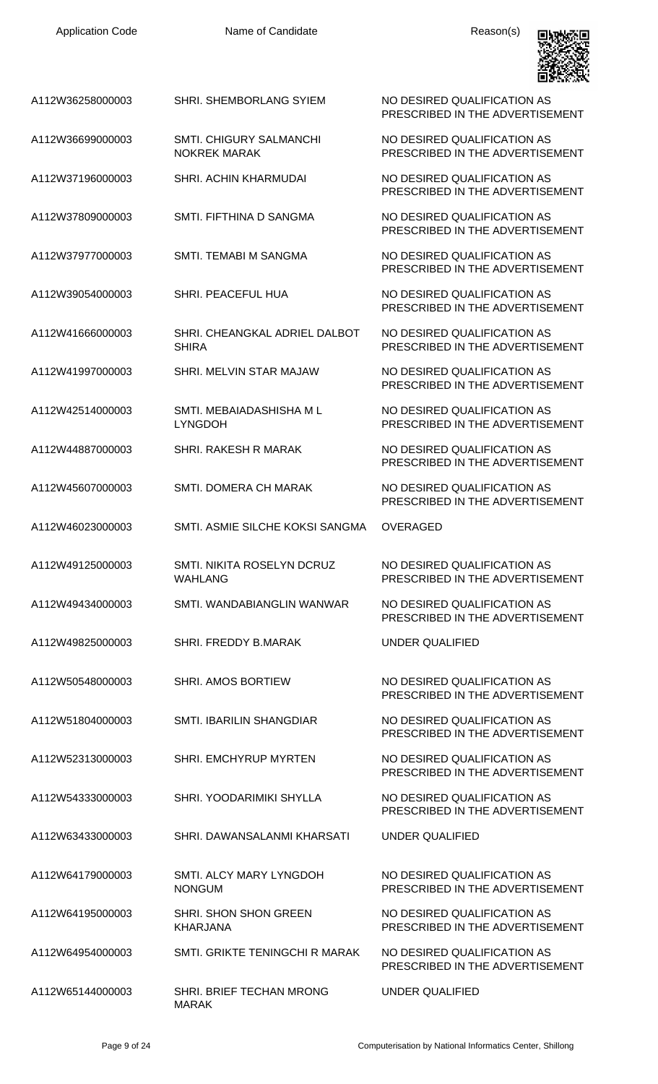

| A112W36258000003 | <b>SHRI. SHEMBORLANG SYIEM</b>                        | NO DESIRED QUALIFICATION AS<br>PRESCRIBED IN THE ADVERTISEMENT |
|------------------|-------------------------------------------------------|----------------------------------------------------------------|
| A112W36699000003 | <b>SMTI. CHIGURY SALMANCHI</b><br><b>NOKREK MARAK</b> | NO DESIRED QUALIFICATION AS<br>PRESCRIBED IN THE ADVERTISEMENT |
| A112W37196000003 | <b>SHRI. ACHIN KHARMUDAI</b>                          | NO DESIRED QUALIFICATION AS<br>PRESCRIBED IN THE ADVERTISEMENT |
| A112W37809000003 | SMTL FIFTHINA D SANGMA                                | NO DESIRED QUALIFICATION AS<br>PRESCRIBED IN THE ADVERTISEMENT |
| A112W37977000003 | SMTI. TEMABI M SANGMA                                 | NO DESIRED QUALIFICATION AS<br>PRESCRIBED IN THE ADVERTISEMENT |
| A112W39054000003 | SHRI. PEACEFUL HUA                                    | NO DESIRED QUALIFICATION AS<br>PRESCRIBED IN THE ADVERTISEMENT |
| A112W41666000003 | SHRI. CHEANGKAL ADRIEL DALBOT<br><b>SHIRA</b>         | NO DESIRED QUALIFICATION AS<br>PRESCRIBED IN THE ADVERTISEMENT |
| A112W41997000003 | SHRI. MELVIN STAR MAJAW                               | NO DESIRED QUALIFICATION AS<br>PRESCRIBED IN THE ADVERTISEMENT |
| A112W42514000003 | SMTI. MEBAIADASHISHA M L<br><b>LYNGDOH</b>            | NO DESIRED QUALIFICATION AS<br>PRESCRIBED IN THE ADVERTISEMENT |
| A112W44887000003 | <b>SHRI. RAKESH R MARAK</b>                           | NO DESIRED QUALIFICATION AS<br>PRESCRIBED IN THE ADVERTISEMENT |
| A112W45607000003 | SMTI. DOMERA CH MARAK                                 | NO DESIRED QUALIFICATION AS<br>PRESCRIBED IN THE ADVERTISEMENT |
| A112W46023000003 | SMTI, ASMIE SILCHE KOKSI SANGMA                       | <b>OVERAGED</b>                                                |
| A112W49125000003 | <b>SMTI. NIKITA ROSELYN DCRUZ</b><br><b>WAHLANG</b>   | NO DESIRED QUALIFICATION AS<br>PRESCRIBED IN THE ADVERTISEMENT |
| A112W49434000003 | SMTI. WANDABIANGLIN WANWAR                            | NO DESIRED QUALIFICATION AS<br>PRESCRIBED IN THE ADVERTISEMENT |
| A112W49825000003 | SHRI. FREDDY B.MARAK                                  | <b>UNDER QUALIFIED</b>                                         |
| A112W50548000003 | <b>SHRI. AMOS BORTIEW</b>                             | NO DESIRED QUALIFICATION AS<br>PRESCRIBED IN THE ADVERTISEMENT |
| A112W51804000003 | SMTI. IBARILIN SHANGDIAR                              | NO DESIRED QUALIFICATION AS<br>PRESCRIBED IN THE ADVERTISEMENT |
| A112W52313000003 | SHRI. EMCHYRUP MYRTEN                                 | NO DESIRED QUALIFICATION AS<br>PRESCRIBED IN THE ADVERTISEMENT |
| A112W54333000003 | SHRI. YOODARIMIKI SHYLLA                              | NO DESIRED QUALIFICATION AS<br>PRESCRIBED IN THE ADVERTISEMENT |
| A112W63433000003 | SHRI. DAWANSALANMI KHARSATI                           | <b>UNDER QUALIFIED</b>                                         |
| A112W64179000003 | SMTI. ALCY MARY LYNGDOH<br><b>NONGUM</b>              | NO DESIRED QUALIFICATION AS<br>PRESCRIBED IN THE ADVERTISEMENT |
| A112W64195000003 | SHRI. SHON SHON GREEN<br><b>KHARJANA</b>              | NO DESIRED QUALIFICATION AS<br>PRESCRIBED IN THE ADVERTISEMENT |
| A112W64954000003 | SMTI. GRIKTE TENINGCHI R MARAK                        | NO DESIRED QUALIFICATION AS<br>PRESCRIBED IN THE ADVERTISEMENT |
| A112W65144000003 | SHRI. BRIEF TECHAN MRONG<br><b>MARAK</b>              | <b>UNDER QUALIFIED</b>                                         |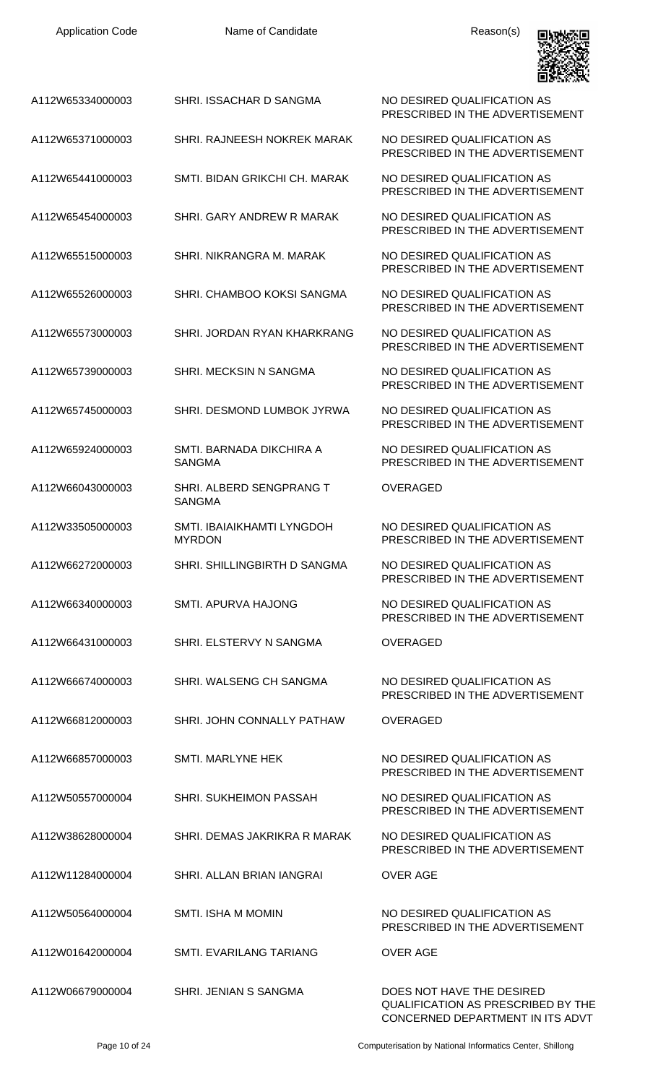| A112W65334000003 | SHRI. ISSACHAR D SANGMA                     | NO DESIRED QUALIFICATION AS<br>PRESCRIBED IN THE ADVERTISEMENT |
|------------------|---------------------------------------------|----------------------------------------------------------------|
| A112W65371000003 | SHRI. RAJNEESH NOKREK MARAK                 | NO DESIRED QUALIFICATION AS<br>PRESCRIBED IN THE ADVERTISEMENT |
| A112W65441000003 | SMTI, BIDAN GRIKCHI CH, MARAK               | NO DESIRED QUALIFICATION AS<br>PRESCRIBED IN THE ADVERTISEMENT |
| A112W65454000003 | SHRI. GARY ANDREW R MARAK                   | NO DESIRED QUALIFICATION AS<br>PRESCRIBED IN THE ADVERTISEMENT |
| A112W65515000003 | SHRI. NIKRANGRA M. MARAK                    | NO DESIRED QUALIFICATION AS<br>PRESCRIBED IN THE ADVERTISEMENT |
| A112W65526000003 | SHRI. CHAMBOO KOKSI SANGMA                  | NO DESIRED QUALIFICATION AS<br>PRESCRIBED IN THE ADVERTISEMENT |
| A112W65573000003 | SHRI. JORDAN RYAN KHARKRANG                 | NO DESIRED QUALIFICATION AS<br>PRESCRIBED IN THE ADVERTISEMENT |
| A112W65739000003 | SHRI. MECKSIN N SANGMA                      | NO DESIRED QUALIFICATION AS<br>PRESCRIBED IN THE ADVERTISEMENT |
| A112W65745000003 | SHRI. DESMOND LUMBOK JYRWA                  | NO DESIRED QUALIFICATION AS<br>PRESCRIBED IN THE ADVERTISEMENT |
| A112W65924000003 | SMTI. BARNADA DIKCHIRA A<br><b>SANGMA</b>   | NO DESIRED QUALIFICATION AS<br>PRESCRIBED IN THE ADVERTISEMENT |
| A112W66043000003 | SHRI. ALBERD SENGPRANG T<br><b>SANGMA</b>   | <b>OVERAGED</b>                                                |
| A112W33505000003 | SMTI. IBAIAIKHAMTI LYNGDOH<br><b>MYRDON</b> | NO DESIRED QUALIFICATION AS<br>PRESCRIBED IN THE ADVERTISEMENT |
| A112W66272000003 | SHRI. SHILLINGBIRTH D SANGMA                | NO DESIRED QUALIFICATION AS<br>PRESCRIBED IN THE ADVERTISEMENT |
| A112W66340000003 | SMTL APURVA HAJONG                          | NO DESIRED QUALIFICATION AS<br>PRESCRIBED IN THE ADVERTISEMENT |
| A112W66431000003 | SHRI. ELSTERVY N SANGMA                     | OVERAGED                                                       |
| A112W66674000003 | SHRI. WALSENG CH SANGMA                     | NO DESIRED QUALIFICATION AS<br>PRESCRIBED IN THE ADVERTISEMENT |
| A112W66812000003 | SHRI. JOHN CONNALLY PATHAW                  | <b>OVERAGED</b>                                                |
| A112W66857000003 | <b>SMTI. MARLYNE HEK</b>                    | NO DESIRED QUALIFICATION AS<br>PRESCRIBED IN THE ADVERTISEMENT |
| A112W50557000004 | SHRI. SUKHEIMON PASSAH                      | NO DESIRED QUALIFICATION AS<br>PRESCRIBED IN THE ADVERTISEMENT |
| A112W38628000004 | SHRI. DEMAS JAKRIKRA R MARAK                | NO DESIRED QUALIFICATION AS<br>PRESCRIBED IN THE ADVERTISEMENT |
| A112W11284000004 | SHRI. ALLAN BRIAN IANGRAI                   | <b>OVER AGE</b>                                                |
| A112W50564000004 | <b>SMTI. ISHA M MOMIN</b>                   | NO DESIRED QUALIFICATION AS<br>PRESCRIBED IN THE ADVERTISEMENT |
| A112W01642000004 | SMTI. EVARILANG TARIANG                     | <b>OVER AGE</b>                                                |
| A112W06679000004 | SHRI. JENIAN S SANGMA                       | DOES NOT HAVE THE DESIRED                                      |

Page 10 of 24 Computerisation by National Informatics Center, Shillong

QUALIFICATION AS PRESCRIBED BY THE CONCERNED DEPARTMENT IN ITS ADVT

**BANKSER**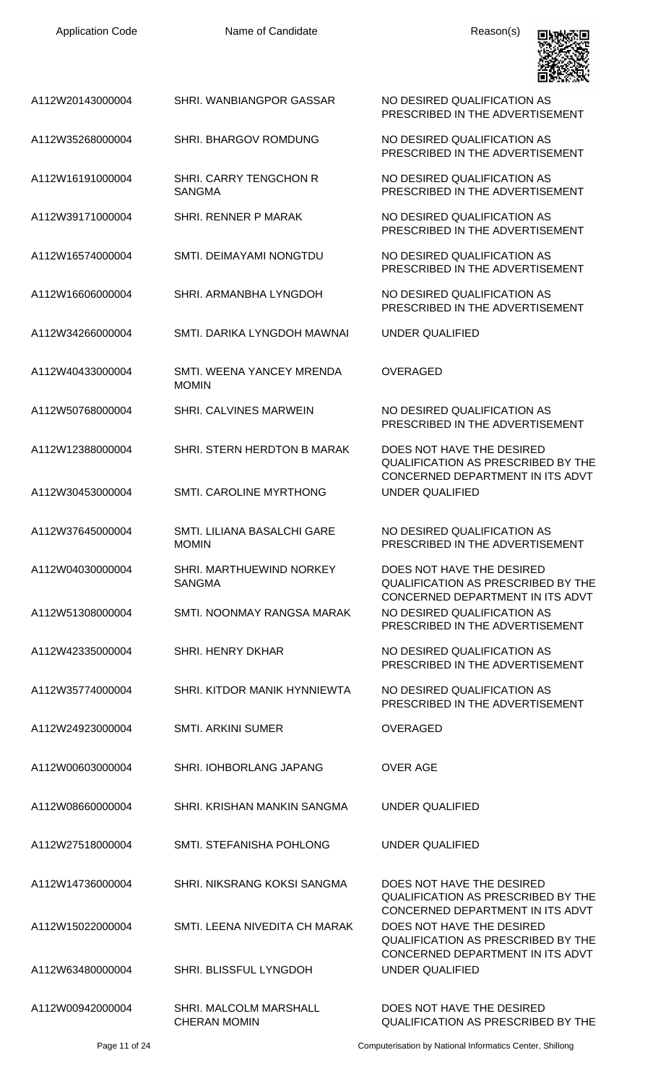| <b>Application Code</b> | Name of Candidate                             | Reason(s)                                                                                                                                      |
|-------------------------|-----------------------------------------------|------------------------------------------------------------------------------------------------------------------------------------------------|
| A112W20143000004        | SHRI. WANBIANGPOR GASSAR                      | NO DESIRED QUALIFICATION AS<br>PRESCRIBED IN THE ADVERTISEMENT                                                                                 |
| A112W35268000004        | SHRI. BHARGOV ROMDUNG                         | NO DESIRED QUALIFICATION AS<br>PRESCRIBED IN THE ADVERTISEMENT                                                                                 |
| A112W16191000004        | SHRI. CARRY TENGCHON R<br><b>SANGMA</b>       | NO DESIRED QUALIFICATION AS<br>PRESCRIBED IN THE ADVERTISEMENT                                                                                 |
| A112W39171000004        | SHRI. RENNER P MARAK                          | NO DESIRED QUALIFICATION AS<br>PRESCRIBED IN THE ADVERTISEMENT                                                                                 |
| A112W16574000004        | <b>SMTI. DEIMAYAMI NONGTDU</b>                | NO DESIRED QUALIFICATION AS<br>PRESCRIBED IN THE ADVERTISEMENT                                                                                 |
| A112W16606000004        | SHRI. ARMANBHA LYNGDOH                        | NO DESIRED QUALIFICATION AS<br>PRESCRIBED IN THE ADVERTISEMENT                                                                                 |
| A112W34266000004        | SMTI. DARIKA LYNGDOH MAWNAI                   | <b>UNDER QUALIFIED</b>                                                                                                                         |
| A112W40433000004        | SMTI. WEENA YANCEY MRENDA<br><b>MOMIN</b>     | <b>OVERAGED</b>                                                                                                                                |
| A112W50768000004        | SHRI. CALVINES MARWEIN                        | NO DESIRED QUALIFICATION AS<br>PRESCRIBED IN THE ADVERTISEMENT                                                                                 |
| A112W12388000004        | SHRI. STERN HERDTON B MARAK                   | DOES NOT HAVE THE DESIRED<br><b>QUALIFICATION AS PRESCRIBED BY THE</b><br>CONCERNED DEPARTMENT IN ITS ADVT                                     |
| A112W30453000004        | <b>SMTI. CAROLINE MYRTHONG</b>                | <b>UNDER QUALIFIED</b>                                                                                                                         |
| A112W37645000004        | SMTI. LILIANA BASALCHI GARE<br><b>MOMIN</b>   | NO DESIRED QUALIFICATION AS<br>PRESCRIBED IN THE ADVERTISEMENT                                                                                 |
| A112W04030000004        | SHRI. MARTHUEWIND NORKEY<br><b>SANGMA</b>     | DOES NOT HAVE THE DESIRED<br><b>QUALIFICATION AS PRESCRIBED BY THE</b><br>CONCERNED DEPARTMENT IN ITS ADVT                                     |
| A112W51308000004        | SMTI. NOONMAY RANGSA MARAK                    | NO DESIRED QUALIFICATION AS<br>PRESCRIBED IN THE ADVERTISEMENT                                                                                 |
| A112W42335000004        | <b>SHRI. HENRY DKHAR</b>                      | NO DESIRED QUALIFICATION AS<br>PRESCRIBED IN THE ADVERTISEMENT                                                                                 |
| A112W35774000004        | SHRI. KITDOR MANIK HYNNIEWTA                  | NO DESIRED QUALIFICATION AS<br>PRESCRIBED IN THE ADVERTISEMENT                                                                                 |
| A112W24923000004        | <b>SMTI. ARKINI SUMER</b>                     | <b>OVERAGED</b>                                                                                                                                |
| A112W00603000004        | SHRI. IOHBORLANG JAPANG                       | <b>OVER AGE</b>                                                                                                                                |
| A112W08660000004        | SHRI. KRISHAN MANKIN SANGMA                   | UNDER QUALIFIED                                                                                                                                |
| A112W27518000004        | SMTI. STEFANISHA POHLONG                      | UNDER QUALIFIED                                                                                                                                |
| A112W14736000004        | SHRI. NIKSRANG KOKSI SANGMA                   | DOES NOT HAVE THE DESIRED<br><b>QUALIFICATION AS PRESCRIBED BY THE</b>                                                                         |
| A112W15022000004        | SMTI. LEENA NIVEDITA CH MARAK                 | CONCERNED DEPARTMENT IN ITS ADVT<br>DOES NOT HAVE THE DESIRED<br><b>QUALIFICATION AS PRESCRIBED BY THE</b><br>CONCERNED DEPARTMENT IN ITS ADVT |
| A112W63480000004        | <b>SHRI. BLISSFUL LYNGDOH</b>                 | <b>UNDER QUALIFIED</b>                                                                                                                         |
| A112W00942000004        | SHRI. MALCOLM MARSHALL<br><b>CHERAN MOMIN</b> | DOES NOT HAVE THE DESIRED<br>QUALIFICATION AS PRESCRIBED BY THE                                                                                |

Page 11 of 24 Computerisation by National Informatics Center, Shillong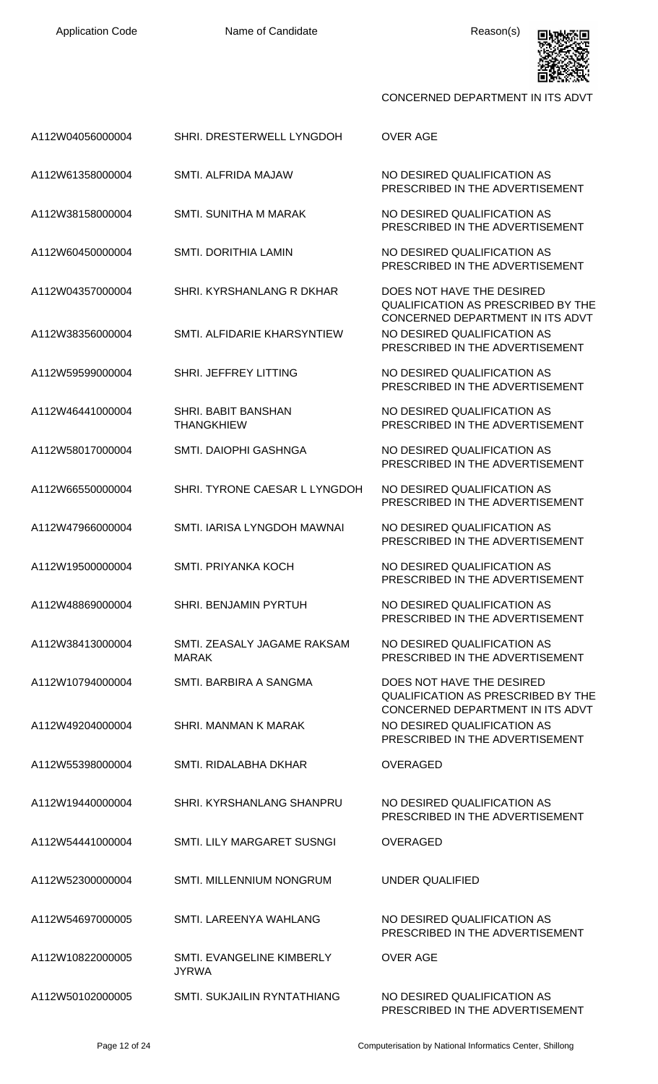

| A112W04056000004 | SHRI. DRESTERWELL LYNGDOH                       | <b>OVER AGE</b>                                                                                            |
|------------------|-------------------------------------------------|------------------------------------------------------------------------------------------------------------|
| A112W61358000004 | SMTI. ALFRIDA MAJAW                             | NO DESIRED QUALIFICATION AS<br>PRESCRIBED IN THE ADVERTISEMENT                                             |
| A112W38158000004 | <b>SMTI. SUNITHA M MARAK</b>                    | NO DESIRED QUALIFICATION AS<br>PRESCRIBED IN THE ADVERTISEMENT                                             |
| A112W60450000004 | SMTI. DORITHIA LAMIN                            | NO DESIRED QUALIFICATION AS<br>PRESCRIBED IN THE ADVERTISEMENT                                             |
| A112W04357000004 | SHRI, KYRSHANLANG R DKHAR                       | DOES NOT HAVE THE DESIRED<br><b>QUALIFICATION AS PRESCRIBED BY THE</b><br>CONCERNED DEPARTMENT IN ITS ADVT |
| A112W38356000004 | SMTI, ALFIDARIE KHARSYNTIEW                     | NO DESIRED QUALIFICATION AS<br>PRESCRIBED IN THE ADVERTISEMENT                                             |
| A112W59599000004 | SHRI. JEFFREY LITTING                           | NO DESIRED QUALIFICATION AS<br>PRESCRIBED IN THE ADVERTISEMENT                                             |
| A112W46441000004 | <b>SHRI. BABIT BANSHAN</b><br><b>THANGKHIEW</b> | NO DESIRED QUALIFICATION AS<br>PRESCRIBED IN THE ADVERTISEMENT                                             |
| A112W58017000004 | SMTI. DAIOPHI GASHNGA                           | NO DESIRED QUALIFICATION AS<br>PRESCRIBED IN THE ADVERTISEMENT                                             |
| A112W66550000004 | SHRI. TYRONE CAESAR L LYNGDOH                   | NO DESIRED QUALIFICATION AS<br>PRESCRIBED IN THE ADVERTISEMENT                                             |
| A112W47966000004 | SMTI. IARISA LYNGDOH MAWNAI                     | NO DESIRED QUALIFICATION AS<br>PRESCRIBED IN THE ADVERTISEMENT                                             |
| A112W19500000004 | SMTI. PRIYANKA KOCH                             | NO DESIRED QUALIFICATION AS<br>PRESCRIBED IN THE ADVERTISEMENT                                             |
| A112W48869000004 | SHRI. BENJAMIN PYRTUH                           | NO DESIRED QUALIFICATION AS<br>PRESCRIBED IN THE ADVERTISEMENT                                             |
| A112W38413000004 | SMTI. ZEASALY JAGAME RAKSAM<br><b>MARAK</b>     | NO DESIRED QUALIFICATION AS<br>PRESCRIBED IN THE ADVERTISEMENT                                             |
| A112W10794000004 | SMTI, BARBIRA A SANGMA                          | DOES NOT HAVE THE DESIRED<br><b>QUALIFICATION AS PRESCRIBED BY THE</b><br>CONCERNED DEPARTMENT IN ITS ADVT |
| A112W49204000004 | SHRI, MANMAN K MARAK                            | NO DESIRED QUALIFICATION AS<br>PRESCRIBED IN THE ADVERTISEMENT                                             |
| A112W55398000004 | SMTI, RIDALABHA DKHAR                           | <b>OVERAGED</b>                                                                                            |
| A112W19440000004 | SHRI, KYRSHANLANG SHANPRU                       | NO DESIRED QUALIFICATION AS<br>PRESCRIBED IN THE ADVERTISEMENT                                             |
| A112W54441000004 | SMTI. LILY MARGARET SUSNGI                      | <b>OVERAGED</b>                                                                                            |
| A112W52300000004 | SMTI. MILLENNIUM NONGRUM                        | <b>UNDER QUALIFIED</b>                                                                                     |
| A112W54697000005 | SMTI. LAREENYA WAHLANG                          | NO DESIRED QUALIFICATION AS<br>PRESCRIBED IN THE ADVERTISEMENT                                             |
| A112W10822000005 | SMTI. EVANGELINE KIMBERLY<br><b>JYRWA</b>       | <b>OVER AGE</b>                                                                                            |
| A112W50102000005 | SMTI. SUKJAILIN RYNTATHIANG                     | NO DESIRED QUALIFICATION AS<br>PRESCRIBED IN THE ADVERTISEMENT                                             |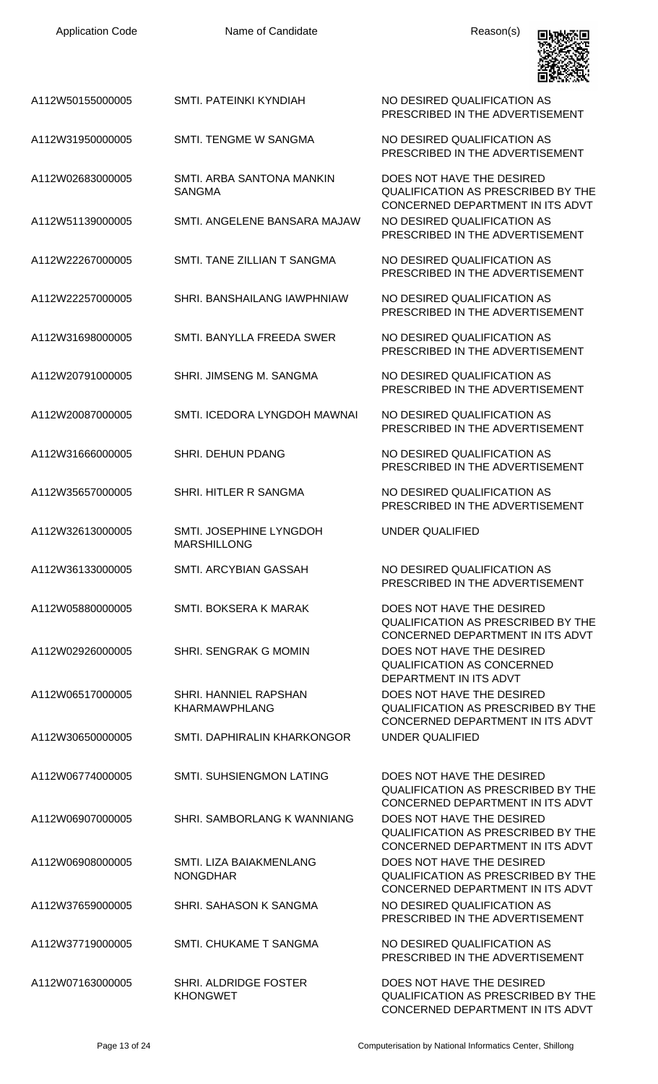| <b>Application Code</b> | Name of Candidate                             | Reason(s)                                                                                                  |
|-------------------------|-----------------------------------------------|------------------------------------------------------------------------------------------------------------|
| A112W50155000005        | SMTI. PATEINKI KYNDIAH                        | NO DESIRED QUALIFICATION AS<br>PRESCRIBED IN THE ADVERTISEMENT                                             |
| A112W31950000005        | <b>SMTI. TENGME W SANGMA</b>                  | NO DESIRED QUALIFICATION AS<br>PRESCRIBED IN THE ADVERTISEMENT                                             |
| A112W02683000005        | SMTI, ARBA SANTONA MANKIN<br><b>SANGMA</b>    | DOES NOT HAVE THE DESIRED<br><b>QUALIFICATION AS PRESCRIBED BY THE</b><br>CONCERNED DEPARTMENT IN ITS ADVT |
| A112W51139000005        | SMTI. ANGELENE BANSARA MAJAW                  | NO DESIRED QUALIFICATION AS<br>PRESCRIBED IN THE ADVERTISEMENT                                             |
| A112W22267000005        | SMTI. TANE ZILLIAN T SANGMA                   | NO DESIRED QUALIFICATION AS<br>PRESCRIBED IN THE ADVERTISEMENT                                             |
| A112W22257000005        | SHRI, BANSHAILANG IAWPHNIAW                   | NO DESIRED QUALIFICATION AS<br>PRESCRIBED IN THE ADVERTISEMENT                                             |
| A112W31698000005        | SMTI. BANYLLA FREEDA SWER                     | NO DESIRED QUALIFICATION AS<br>PRESCRIBED IN THE ADVERTISEMENT                                             |
| A112W20791000005        | SHRI. JIMSENG M. SANGMA                       | NO DESIRED QUALIFICATION AS<br>PRESCRIBED IN THE ADVERTISEMENT                                             |
| A112W20087000005        | SMTI. ICEDORA LYNGDOH MAWNAI                  | NO DESIRED QUALIFICATION AS<br>PRESCRIBED IN THE ADVERTISEMENT                                             |
| A112W31666000005        | <b>SHRI. DEHUN PDANG</b>                      | NO DESIRED QUALIFICATION AS<br>PRESCRIBED IN THE ADVERTISEMENT                                             |
| A112W35657000005        | SHRI. HITLER R SANGMA                         | NO DESIRED QUALIFICATION AS<br>PRESCRIBED IN THE ADVERTISEMENT                                             |
| A112W32613000005        | SMTI. JOSEPHINE LYNGDOH<br><b>MARSHILLONG</b> | UNDER QUALIFIED                                                                                            |
| A112W36133000005        | SMTI. ARCYBIAN GASSAH                         | NO DESIRED QUALIFICATION AS<br>PRESCRIBED IN THE ADVERTISEMENT                                             |
| A112W05880000005        | <b>SMTI. BOKSERA K MARAK</b>                  | DOES NOT HAVE THE DESIRED<br><b>QUALIFICATION AS PRESCRIBED BY THE</b><br>CONCERNED DEPARTMENT IN ITS ADVT |
| A112W02926000005        | SHRI. SENGRAK G MOMIN                         | DOES NOT HAVE THE DESIRED<br><b>QUALIFICATION AS CONCERNED</b><br>DEPARTMENT IN ITS ADVT                   |
| A112W06517000005        | SHRI. HANNIEL RAPSHAN<br><b>KHARMAWPHLANG</b> | DOES NOT HAVE THE DESIRED<br><b>QUALIFICATION AS PRESCRIBED BY THE</b><br>CONCERNED DEPARTMENT IN ITS ADVT |
| A112W30650000005        | SMTI. DAPHIRALIN KHARKONGOR                   | <b>UNDER QUALIFIED</b>                                                                                     |
| A112W06774000005        | SMTI. SUHSIENGMON LATING                      | DOES NOT HAVE THE DESIRED<br>QUALIFICATION AS PRESCRIBED BY THE<br>CONCERNED DEPARTMENT IN ITS ADVT        |
| A112W06907000005        | SHRI. SAMBORLANG K WANNIANG                   | DOES NOT HAVE THE DESIRED<br><b>QUALIFICATION AS PRESCRIBED BY THE</b><br>CONCERNED DEPARTMENT IN ITS ADVT |
| A112W06908000005        | SMTI. LIZA BAIAKMENLANG<br><b>NONGDHAR</b>    | DOES NOT HAVE THE DESIRED<br><b>QUALIFICATION AS PRESCRIBED BY THE</b><br>CONCERNED DEPARTMENT IN ITS ADVT |
| A112W37659000005        | SHRI, SAHASON K SANGMA                        | NO DESIRED QUALIFICATION AS<br>PRESCRIBED IN THE ADVERTISEMENT                                             |
| A112W37719000005        | SMTI. CHUKAME T SANGMA                        | NO DESIRED QUALIFICATION AS<br>PRESCRIBED IN THE ADVERTISEMENT                                             |
| A112W07163000005        | SHRI. ALDRIDGE FOSTER<br><b>KHONGWET</b>      | DOES NOT HAVE THE DESIRED<br>QUALIFICATION AS PRESCRIBED BY THE                                            |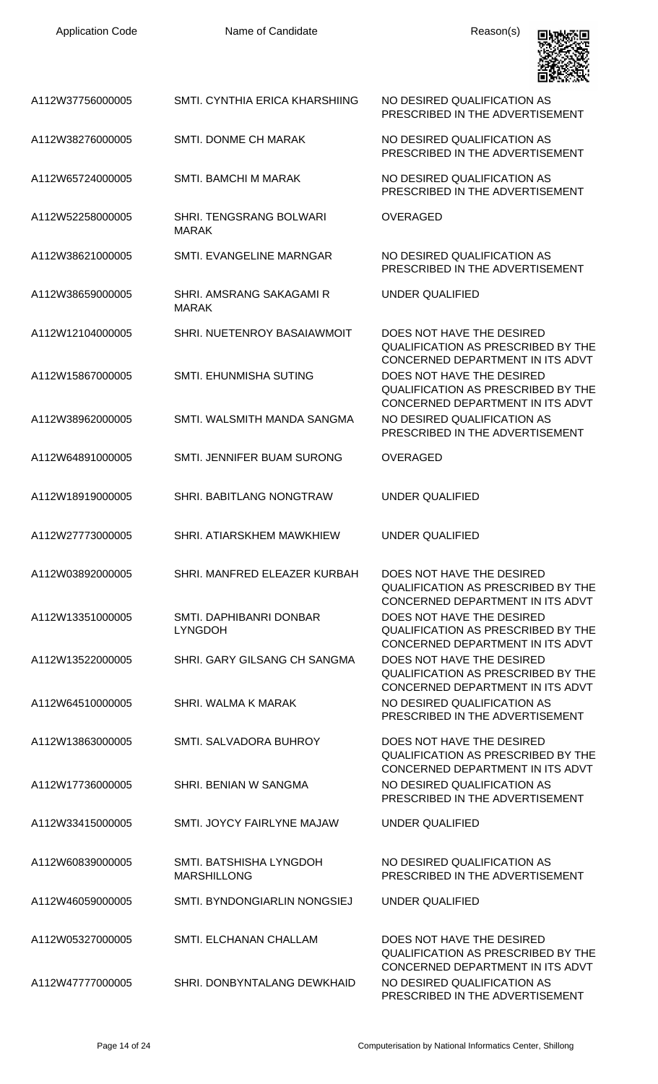| <b>Application Code</b> | Name of Candidate                                | Reason(s)                                                                                                                                      |
|-------------------------|--------------------------------------------------|------------------------------------------------------------------------------------------------------------------------------------------------|
| A112W37756000005        | SMTI, CYNTHIA ERICA KHARSHIING                   | NO DESIRED QUALIFICATION AS<br>PRESCRIBED IN THE ADVERTISEMENT                                                                                 |
| A112W38276000005        | <b>SMTI. DONME CH MARAK</b>                      | NO DESIRED QUALIFICATION AS<br>PRESCRIBED IN THE ADVERTISEMENT                                                                                 |
| A112W65724000005        | <b>SMTI. BAMCHI M MARAK</b>                      | NO DESIRED QUALIFICATION AS<br>PRESCRIBED IN THE ADVERTISEMENT                                                                                 |
| A112W52258000005        | SHRI. TENGSRANG BOLWARI<br><b>MARAK</b>          | <b>OVERAGED</b>                                                                                                                                |
| A112W38621000005        | SMTI. EVANGELINE MARNGAR                         | NO DESIRED QUALIFICATION AS<br>PRESCRIBED IN THE ADVERTISEMENT                                                                                 |
| A112W38659000005        | SHRI, AMSRANG SAKAGAMI R<br><b>MARAK</b>         | UNDER QUALIFIED                                                                                                                                |
| A112W12104000005        | SHRI. NUETENROY BASAIAWMOIT                      | DOES NOT HAVE THE DESIRED<br>QUALIFICATION AS PRESCRIBED BY THE<br>CONCERNED DEPARTMENT IN ITS ADVT                                            |
| A112W15867000005        | SMTI. EHUNMISHA SUTING                           | DOES NOT HAVE THE DESIRED<br><b>QUALIFICATION AS PRESCRIBED BY THE</b><br>CONCERNED DEPARTMENT IN ITS ADVT                                     |
| A112W38962000005        | SMTI. WALSMITH MANDA SANGMA                      | NO DESIRED QUALIFICATION AS<br>PRESCRIBED IN THE ADVERTISEMENT                                                                                 |
| A112W64891000005        | SMTI. JENNIFER BUAM SURONG                       | <b>OVERAGED</b>                                                                                                                                |
| A112W18919000005        | SHRI. BABITLANG NONGTRAW                         | <b>UNDER QUALIFIED</b>                                                                                                                         |
| A112W27773000005        | SHRI. ATIARSKHEM MAWKHIEW                        | <b>UNDER QUALIFIED</b>                                                                                                                         |
| A112W03892000005        | SHRI. MANFRED ELEAZER KURBAH                     | DOES NOT HAVE THE DESIRED<br><b>QUALIFICATION AS PRESCRIBED BY THE</b>                                                                         |
| A112W13351000005        | <b>SMTI. DAPHIBANRI DONBAR</b><br><b>LYNGDOH</b> | CONCERNED DEPARTMENT IN ITS ADVT<br>DOES NOT HAVE THE DESIRED<br><b>QUALIFICATION AS PRESCRIBED BY THE</b><br>CONCERNED DEPARTMENT IN ITS ADVT |
| A112W13522000005        | SHRI. GARY GILSANG CH SANGMA                     | DOES NOT HAVE THE DESIRED<br><b>QUALIFICATION AS PRESCRIBED BY THE</b><br>CONCERNED DEPARTMENT IN ITS ADVT                                     |
| A112W64510000005        | SHRI. WALMA K MARAK                              | NO DESIRED QUALIFICATION AS<br>PRESCRIBED IN THE ADVERTISEMENT                                                                                 |
| A112W13863000005        | SMTI, SALVADORA BUHROY                           | DOES NOT HAVE THE DESIRED<br>QUALIFICATION AS PRESCRIBED BY THE<br>CONCERNED DEPARTMENT IN ITS ADVT                                            |
| A112W17736000005        | SHRI. BENIAN W SANGMA                            | NO DESIRED QUALIFICATION AS<br>PRESCRIBED IN THE ADVERTISEMENT                                                                                 |
| A112W33415000005        | SMTI. JOYCY FAIRLYNE MAJAW                       | UNDER QUALIFIED                                                                                                                                |
| A112W60839000005        | SMTI. BATSHISHA LYNGDOH<br><b>MARSHILLONG</b>    | NO DESIRED QUALIFICATION AS<br>PRESCRIBED IN THE ADVERTISEMENT                                                                                 |
| A112W46059000005        | SMTI. BYNDONGIARLIN NONGSIEJ                     | <b>UNDER QUALIFIED</b>                                                                                                                         |
| A112W05327000005        | <b>SMTI. ELCHANAN CHALLAM</b>                    | DOES NOT HAVE THE DESIRED<br><b>QUALIFICATION AS PRESCRIBED BY THE</b>                                                                         |
| A112W47777000005        | SHRI. DONBYNTALANG DEWKHAID                      | CONCERNED DEPARTMENT IN ITS ADVT<br>NO DESIRED QUALIFICATION AS<br>PRESCRIBED IN THE ADVERTISEMENT                                             |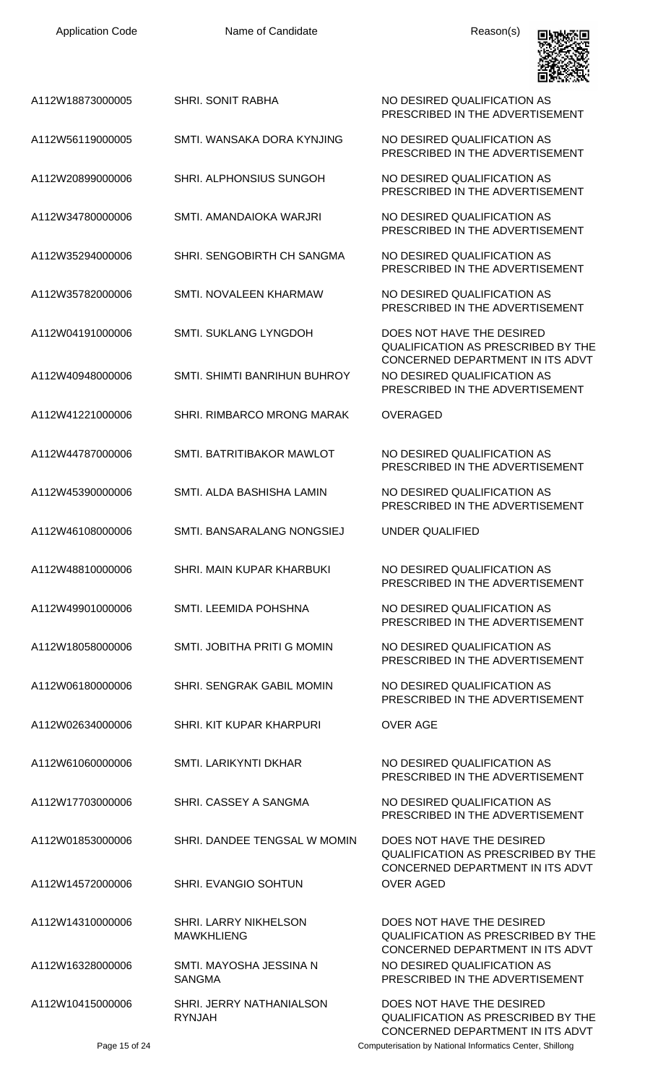

| A112W18873000005 | <b>SHRI. SONIT RABHA</b>                          | NO DESIRED QUALIFICATION AS<br>PRESCRIBED IN THE ADVERTISEMENT                                             |
|------------------|---------------------------------------------------|------------------------------------------------------------------------------------------------------------|
| A112W56119000005 | SMTI. WANSAKA DORA KYNJING                        | NO DESIRED QUALIFICATION AS<br>PRESCRIBED IN THE ADVERTISEMENT                                             |
| A112W20899000006 | SHRI. ALPHONSIUS SUNGOH                           | NO DESIRED QUALIFICATION AS<br>PRESCRIBED IN THE ADVERTISEMENT                                             |
| A112W34780000006 | SMTI. AMANDAIOKA WARJRI                           | NO DESIRED QUALIFICATION AS<br>PRESCRIBED IN THE ADVERTISEMENT                                             |
| A112W35294000006 | SHRI. SENGOBIRTH CH SANGMA                        | NO DESIRED QUALIFICATION AS<br>PRESCRIBED IN THE ADVERTISEMENT                                             |
| A112W35782000006 | SMTI. NOVALEEN KHARMAW                            | NO DESIRED QUALIFICATION AS<br>PRESCRIBED IN THE ADVERTISEMENT                                             |
| A112W04191000006 | <b>SMTI. SUKLANG LYNGDOH</b>                      | DOES NOT HAVE THE DESIRED<br><b>QUALIFICATION AS PRESCRIBED BY THE</b><br>CONCERNED DEPARTMENT IN ITS ADVT |
| A112W40948000006 | SMTI. SHIMTI BANRIHUN BUHROY                      | NO DESIRED OUALIFICATION AS<br>PRESCRIBED IN THE ADVERTISEMENT                                             |
| A112W41221000006 | <b>SHRI. RIMBARCO MRONG MARAK</b>                 | <b>OVERAGED</b>                                                                                            |
| A112W44787000006 | SMTI. BATRITIBAKOR MAWLOT                         | NO DESIRED QUALIFICATION AS<br>PRESCRIBED IN THE ADVERTISEMENT                                             |
| A112W45390000006 | SMTI. ALDA BASHISHA LAMIN                         | NO DESIRED QUALIFICATION AS<br>PRESCRIBED IN THE ADVERTISEMENT                                             |
| A112W46108000006 | SMTI. BANSARALANG NONGSIEJ                        | UNDER QUALIFIED                                                                                            |
| A112W48810000006 | SHRI. MAIN KUPAR KHARBUKI                         | NO DESIRED QUALIFICATION AS<br>PRESCRIBED IN THE ADVERTISEMENT                                             |
| A112W49901000006 | <b>SMTI. LEEMIDA POHSHNA</b>                      | NO DESIRED QUALIFICATION AS<br>PRESCRIBED IN THE ADVERTISEMENT                                             |
| A112W18058000006 | SMTI. JOBITHA PRITI G MOMIN                       | NO DESIRED QUALIFICATION AS<br>PRESCRIBED IN THE ADVERTISEMENT                                             |
| A112W06180000006 | <b>SHRI. SENGRAK GABIL MOMIN</b>                  | NO DESIRED QUALIFICATION AS<br>PRESCRIBED IN THE ADVERTISEMENT                                             |
| A112W02634000006 | SHRI. KIT KUPAR KHARPURI                          | <b>OVER AGE</b>                                                                                            |
| A112W61060000006 | <b>SMTI. LARIKYNTI DKHAR</b>                      | NO DESIRED QUALIFICATION AS<br>PRESCRIBED IN THE ADVERTISEMENT                                             |
| A112W17703000006 | SHRI. CASSEY A SANGMA                             | NO DESIRED QUALIFICATION AS<br>PRESCRIBED IN THE ADVERTISEMENT                                             |
| A112W01853000006 | SHRI. DANDEE TENGSAL W MOMIN                      | DOES NOT HAVE THE DESIRED<br><b>QUALIFICATION AS PRESCRIBED BY THE</b>                                     |
| A112W14572000006 | SHRI. EVANGIO SOHTUN                              | CONCERNED DEPARTMENT IN ITS ADVT<br><b>OVER AGED</b>                                                       |
| A112W14310000006 | <b>SHRI. LARRY NIKHELSON</b><br><b>MAWKHLIENG</b> | DOES NOT HAVE THE DESIRED<br><b>QUALIFICATION AS PRESCRIBED BY THE</b><br>CONCERNED DEPARTMENT IN ITS ADVT |
| A112W16328000006 | SMTI. MAYOSHA JESSINA N<br><b>SANGMA</b>          | NO DESIRED QUALIFICATION AS<br>PRESCRIBED IN THE ADVERTISEMENT                                             |
| A112W10415000006 | SHRI. JERRY NATHANIALSON<br><b>RYNJAH</b>         | DOES NOT HAVE THE DESIRED<br><b>QUALIFICATION AS PRESCRIBED BY THE</b><br>CONCERNED DEPARTMENT IN ITS ADVT |
| Page 15 of 24    |                                                   | Computerisation by National Informatics Center, Shillong                                                   |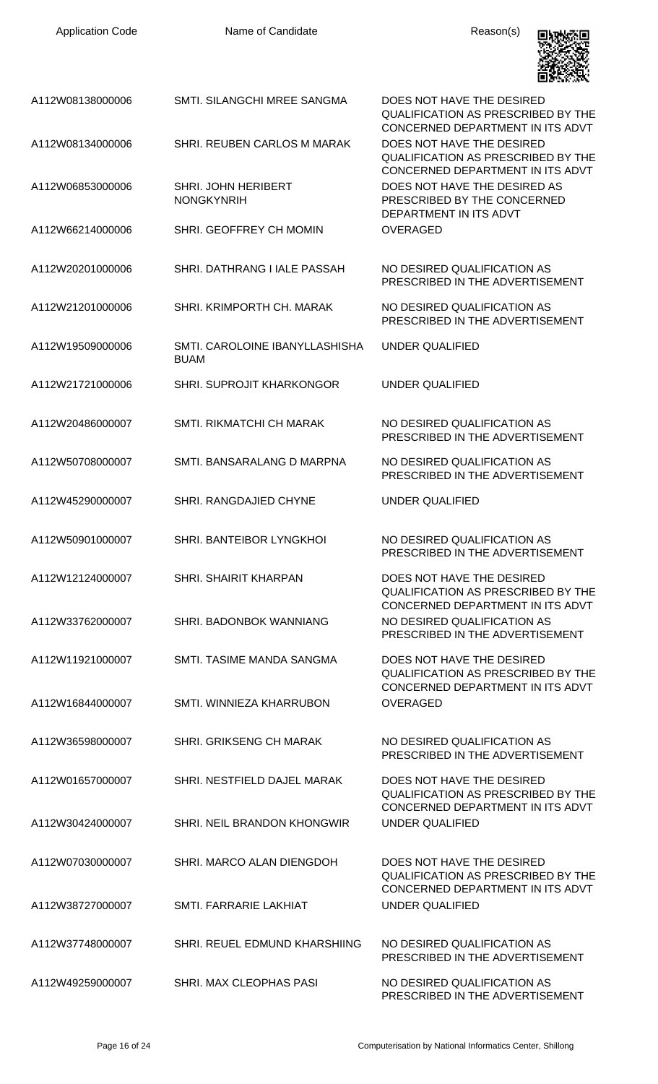| <b>Application Code</b> | Name of Candidate                             | Reason(s)                                                                                                  |
|-------------------------|-----------------------------------------------|------------------------------------------------------------------------------------------------------------|
| A112W08138000006        | SMTI. SILANGCHI MREE SANGMA                   | DOES NOT HAVE THE DESIRED<br><b>QUALIFICATION AS PRESCRIBED BY THE</b><br>CONCERNED DEPARTMENT IN ITS ADVT |
| A112W08134000006        | SHRI. REUBEN CARLOS M MARAK                   | DOES NOT HAVE THE DESIRED<br><b>QUALIFICATION AS PRESCRIBED BY THE</b><br>CONCERNED DEPARTMENT IN ITS ADVT |
| A112W06853000006        | SHRI. JOHN HERIBERT<br><b>NONGKYNRIH</b>      | DOES NOT HAVE THE DESIRED AS<br>PRESCRIBED BY THE CONCERNED<br>DEPARTMENT IN ITS ADVT                      |
| A112W66214000006        | SHRI. GEOFFREY CH MOMIN                       | <b>OVERAGED</b>                                                                                            |
| A112W20201000006        | SHRI. DATHRANG I IALE PASSAH                  | NO DESIRED QUALIFICATION AS<br>PRESCRIBED IN THE ADVERTISEMENT                                             |
| A112W21201000006        | SHRI, KRIMPORTH CH, MARAK                     | NO DESIRED QUALIFICATION AS<br>PRESCRIBED IN THE ADVERTISEMENT                                             |
| A112W19509000006        | SMTI, CAROLOINE IBANYLLASHISHA<br><b>BUAM</b> | UNDER QUALIFIED                                                                                            |
| A112W21721000006        | SHRI. SUPROJIT KHARKONGOR                     | UNDER QUALIFIED                                                                                            |
| A112W20486000007        | SMTI. RIKMATCHI CH MARAK                      | NO DESIRED QUALIFICATION AS<br>PRESCRIBED IN THE ADVERTISEMENT                                             |
| A112W50708000007        | SMTI. BANSARALANG D MARPNA                    | NO DESIRED QUALIFICATION AS<br>PRESCRIBED IN THE ADVERTISEMENT                                             |
| A112W45290000007        | SHRI. RANGDAJIED CHYNE                        | UNDER QUALIFIED                                                                                            |
| A112W50901000007        | SHRI. BANTEIBOR LYNGKHOI                      | NO DESIRED QUALIFICATION AS<br>PRESCRIBED IN THE ADVERTISEMENT                                             |
| A112W12124000007        | <b>SHRI. SHAIRIT KHARPAN</b>                  | DOES NOT HAVE THE DESIRED<br><b>QUALIFICATION AS PRESCRIBED BY THE</b><br>CONCERNED DEPARTMENT IN ITS ADVT |
| A112W33762000007        | SHRI. BADONBOK WANNIANG                       | NO DESIRED QUALIFICATION AS<br>PRESCRIBED IN THE ADVERTISEMENT                                             |
| A112W11921000007        | SMTI. TASIME MANDA SANGMA                     | DOES NOT HAVE THE DESIRED<br><b>QUALIFICATION AS PRESCRIBED BY THE</b><br>CONCERNED DEPARTMENT IN ITS ADVT |
| A112W16844000007        | SMTI. WINNIEZA KHARRUBON                      | <b>OVERAGED</b>                                                                                            |
| A112W36598000007        | SHRI. GRIKSENG CH MARAK                       | NO DESIRED QUALIFICATION AS<br>PRESCRIBED IN THE ADVERTISEMENT                                             |
| A112W01657000007        | SHRI. NESTFIELD DAJEL MARAK                   | DOES NOT HAVE THE DESIRED<br><b>QUALIFICATION AS PRESCRIBED BY THE</b>                                     |
| A112W30424000007        | SHRI. NEIL BRANDON KHONGWIR                   | CONCERNED DEPARTMENT IN ITS ADVT<br><b>UNDER QUALIFIED</b>                                                 |
| A112W07030000007        | SHRI. MARCO ALAN DIENGDOH                     | DOES NOT HAVE THE DESIRED<br><b>QUALIFICATION AS PRESCRIBED BY THE</b><br>CONCERNED DEPARTMENT IN ITS ADVT |
| A112W38727000007        | SMTI, FARRARIE LAKHIAT                        | <b>UNDER QUALIFIED</b>                                                                                     |
| A112W37748000007        | SHRI. REUEL EDMUND KHARSHIING                 | NO DESIRED QUALIFICATION AS<br>PRESCRIBED IN THE ADVERTISEMENT                                             |
| A112W49259000007        | SHRI. MAX CLEOPHAS PASI                       | NO DESIRED QUALIFICATION AS<br>PRESCRIBED IN THE ADVERTISEMENT                                             |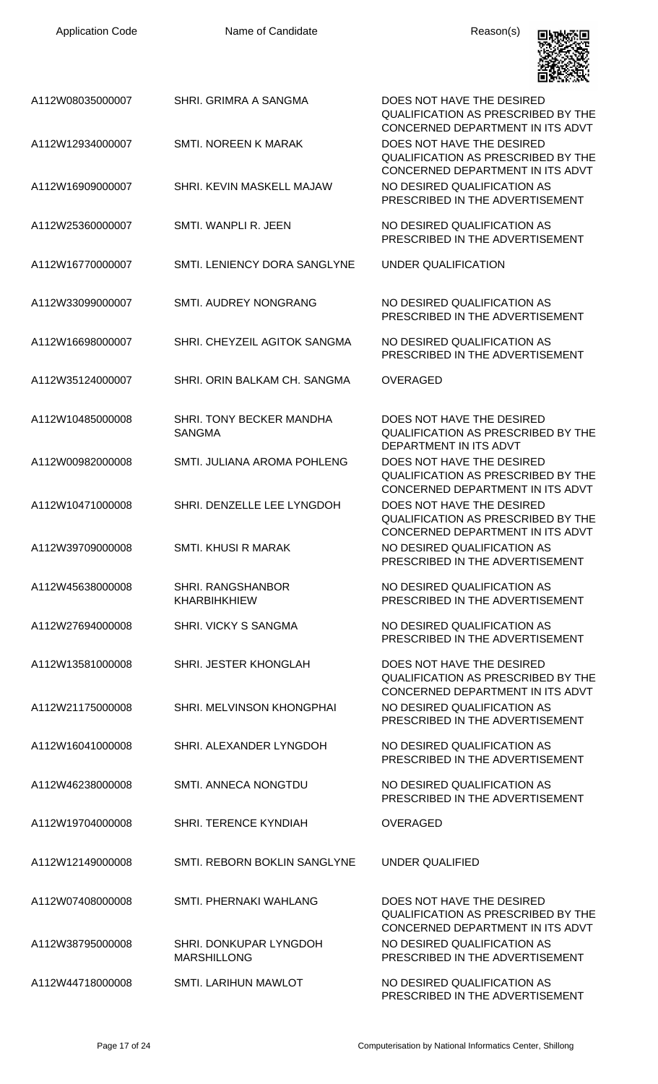| <b>Application Code</b> | Name of Candidate                            | Reason(s)                                                                                                  |
|-------------------------|----------------------------------------------|------------------------------------------------------------------------------------------------------------|
| A112W08035000007        | SHRI. GRIMRA A SANGMA                        | DOES NOT HAVE THE DESIRED<br><b>QUALIFICATION AS PRESCRIBED BY THE</b><br>CONCERNED DEPARTMENT IN ITS ADVT |
| A112W12934000007        | <b>SMTI. NOREEN K MARAK</b>                  | DOES NOT HAVE THE DESIRED<br><b>QUALIFICATION AS PRESCRIBED BY THE</b><br>CONCERNED DEPARTMENT IN ITS ADVT |
| A112W16909000007        | SHRI. KEVIN MASKELL MAJAW                    | NO DESIRED QUALIFICATION AS<br>PRESCRIBED IN THE ADVERTISEMENT                                             |
| A112W25360000007        | SMTI. WANPLI R. JEEN                         | NO DESIRED QUALIFICATION AS<br>PRESCRIBED IN THE ADVERTISEMENT                                             |
| A112W16770000007        | SMTI. LENIENCY DORA SANGLYNE                 | UNDER QUALIFICATION                                                                                        |
| A112W33099000007        | <b>SMTI. AUDREY NONGRANG</b>                 | NO DESIRED QUALIFICATION AS<br>PRESCRIBED IN THE ADVERTISEMENT                                             |
| A112W16698000007        | SHRI. CHEYZEIL AGITOK SANGMA                 | NO DESIRED QUALIFICATION AS<br>PRESCRIBED IN THE ADVERTISEMENT                                             |
| A112W35124000007        | SHRI. ORIN BALKAM CH. SANGMA                 | <b>OVERAGED</b>                                                                                            |
| A112W10485000008        | SHRI. TONY BECKER MANDHA<br><b>SANGMA</b>    | DOES NOT HAVE THE DESIRED<br><b>QUALIFICATION AS PRESCRIBED BY THE</b><br>DEPARTMENT IN ITS ADVT           |
| A112W00982000008        | SMTI. JULIANA AROMA POHLENG                  | DOES NOT HAVE THE DESIRED<br><b>QUALIFICATION AS PRESCRIBED BY THE</b><br>CONCERNED DEPARTMENT IN ITS ADVT |
| A112W10471000008        | SHRI. DENZELLE LEE LYNGDOH                   | DOES NOT HAVE THE DESIRED<br><b>QUALIFICATION AS PRESCRIBED BY THE</b><br>CONCERNED DEPARTMENT IN ITS ADVT |
| A112W39709000008        | SMTI, KHUSI R MARAK                          | NO DESIRED QUALIFICATION AS<br>PRESCRIBED IN THE ADVERTISEMENT                                             |
| A112W45638000008        | SHRI. RANGSHANBOR<br><b>KHARBIHKHIEW</b>     | NO DESIRED QUALIFICATION AS<br>PRESCRIBED IN THE ADVERTISEMENT                                             |
| A112W27694000008        | SHRI. VICKY S SANGMA                         | NO DESIRED QUALIFICATION AS<br>PRESCRIBED IN THE ADVERTISEMENT                                             |
| A112W13581000008        | SHRI. JESTER KHONGLAH                        | DOES NOT HAVE THE DESIRED<br><b>QUALIFICATION AS PRESCRIBED BY THE</b><br>CONCERNED DEPARTMENT IN ITS ADVT |
| A112W21175000008        | SHRI. MELVINSON KHONGPHAI                    | NO DESIRED QUALIFICATION AS<br>PRESCRIBED IN THE ADVERTISEMENT                                             |
| A112W16041000008        | SHRI. ALEXANDER LYNGDOH                      | NO DESIRED QUALIFICATION AS<br>PRESCRIBED IN THE ADVERTISEMENT                                             |
| A112W46238000008        | SMTI. ANNECA NONGTDU                         | NO DESIRED QUALIFICATION AS<br>PRESCRIBED IN THE ADVERTISEMENT                                             |
| A112W19704000008        | SHRI. TERENCE KYNDIAH                        | <b>OVERAGED</b>                                                                                            |
| A112W12149000008        | SMTI. REBORN BOKLIN SANGLYNE                 | <b>UNDER QUALIFIED</b>                                                                                     |
| A112W07408000008        | SMTL PHERNAKI WAHLANG                        | DOES NOT HAVE THE DESIRED<br><b>QUALIFICATION AS PRESCRIBED BY THE</b><br>CONCERNED DEPARTMENT IN ITS ADVT |
| A112W38795000008        | SHRI. DONKUPAR LYNGDOH<br><b>MARSHILLONG</b> | NO DESIRED QUALIFICATION AS<br>PRESCRIBED IN THE ADVERTISEMENT                                             |
| A112W44718000008        | <b>SMTI. LARIHUN MAWLOT</b>                  | NO DESIRED QUALIFICATION AS<br>PRESCRIBED IN THE ADVERTISEMENT                                             |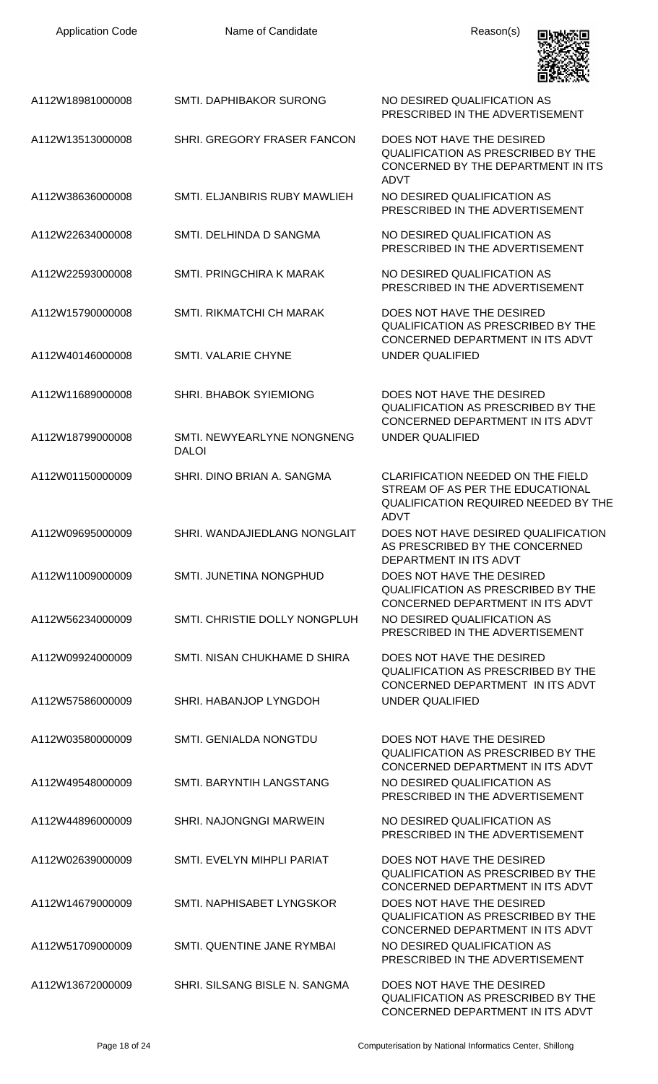| <b>Application Code</b> | Name of Candidate                          | Reason(s)                                                                                                                                  |
|-------------------------|--------------------------------------------|--------------------------------------------------------------------------------------------------------------------------------------------|
| A112W18981000008        | <b>SMTI. DAPHIBAKOR SURONG</b>             | NO DESIRED QUALIFICATION AS<br>PRESCRIBED IN THE ADVERTISEMENT                                                                             |
| A112W13513000008        | SHRI. GREGORY FRASER FANCON                | DOES NOT HAVE THE DESIRED<br><b>QUALIFICATION AS PRESCRIBED BY THE</b><br>CONCERNED BY THE DEPARTMENT IN ITS<br><b>ADVT</b>                |
| A112W38636000008        | SMTI. ELJANBIRIS RUBY MAWLIEH              | NO DESIRED QUALIFICATION AS<br>PRESCRIBED IN THE ADVERTISEMENT                                                                             |
| A112W22634000008        | SMTI. DELHINDA D SANGMA                    | NO DESIRED QUALIFICATION AS<br>PRESCRIBED IN THE ADVERTISEMENT                                                                             |
| A112W22593000008        | <b>SMTI. PRINGCHIRA K MARAK</b>            | NO DESIRED QUALIFICATION AS<br>PRESCRIBED IN THE ADVERTISEMENT                                                                             |
| A112W15790000008        | <b>SMTI, RIKMATCHI CH MARAK</b>            | DOES NOT HAVE THE DESIRED<br><b>QUALIFICATION AS PRESCRIBED BY THE</b><br>CONCERNED DEPARTMENT IN ITS ADVT                                 |
| A112W40146000008        | SMTI. VALARIE CHYNE                        | <b>UNDER QUALIFIED</b>                                                                                                                     |
| A112W11689000008        | SHRI. BHABOK SYIEMIONG                     | DOES NOT HAVE THE DESIRED<br><b>QUALIFICATION AS PRESCRIBED BY THE</b><br>CONCERNED DEPARTMENT IN ITS ADVT                                 |
| A112W18799000008        | SMTI. NEWYEARLYNE NONGNENG<br><b>DALOI</b> | UNDER QUALIFIED                                                                                                                            |
| A112W01150000009        | SHRI, DINO BRIAN A. SANGMA                 | <b>CLARIFICATION NEEDED ON THE FIELD</b><br>STREAM OF AS PER THE EDUCATIONAL<br><b>QUALIFICATION REQUIRED NEEDED BY THE</b><br><b>ADVT</b> |
| A112W09695000009        | SHRI. WANDAJIEDLANG NONGLAIT               | DOES NOT HAVE DESIRED QUALIFICATION<br>AS PRESCRIBED BY THE CONCERNED<br>DEPARTMENT IN ITS ADVT                                            |
| A112W11009000009        | SMTI. JUNETINA NONGPHUD                    | DOES NOT HAVE THE DESIRED<br><b>QUALIFICATION AS PRESCRIBED BY THE</b><br>CONCERNED DEPARTMENT IN ITS ADVT                                 |
| A112W56234000009        | SMTI. CHRISTIE DOLLY NONGPLUH              | NO DESIRED QUALIFICATION AS<br>PRESCRIBED IN THE ADVERTISEMENT                                                                             |
| A112W09924000009        | SMTI. NISAN CHUKHAME D SHIRA               | DOES NOT HAVE THE DESIRED<br><b>QUALIFICATION AS PRESCRIBED BY THE</b><br>CONCERNED DEPARTMENT IN ITS ADVT                                 |
| A112W57586000009        | SHRI. HABANJOP LYNGDOH                     | UNDER QUALIFIED                                                                                                                            |
| A112W03580000009        | SMTI. GENIALDA NONGTDU                     | DOES NOT HAVE THE DESIRED<br><b>QUALIFICATION AS PRESCRIBED BY THE</b><br>CONCERNED DEPARTMENT IN ITS ADVT                                 |
| A112W49548000009        | SMTI. BARYNTIH LANGSTANG                   | NO DESIRED QUALIFICATION AS<br>PRESCRIBED IN THE ADVERTISEMENT                                                                             |
| A112W44896000009        | <b>SHRI. NAJONGNGI MARWEIN</b>             | NO DESIRED QUALIFICATION AS<br>PRESCRIBED IN THE ADVERTISEMENT                                                                             |
| A112W02639000009        | SMTI. EVELYN MIHPLI PARIAT                 | DOES NOT HAVE THE DESIRED<br><b>QUALIFICATION AS PRESCRIBED BY THE</b><br>CONCERNED DEPARTMENT IN ITS ADVT                                 |
| A112W14679000009        | SMTI, NAPHISABET LYNGSKOR                  | DOES NOT HAVE THE DESIRED<br><b>QUALIFICATION AS PRESCRIBED BY THE</b><br>CONCERNED DEPARTMENT IN ITS ADVT                                 |
| A112W51709000009        | SMTI, QUENTINE JANE RYMBAI                 | NO DESIRED QUALIFICATION AS<br>PRESCRIBED IN THE ADVERTISEMENT                                                                             |
| A112W13672000009        | SHRI. SILSANG BISLE N. SANGMA              | DOES NOT HAVE THE DESIRED<br>QUALIFICATION AS PRESCRIBED BY THE                                                                            |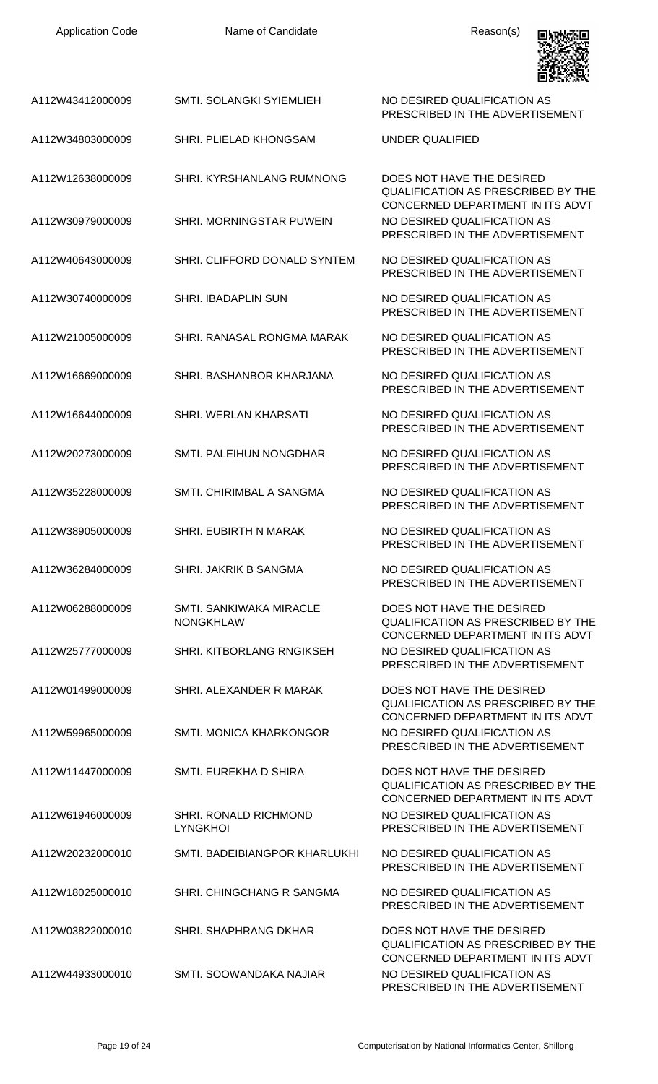| A112W43412000009 | SMTI. SOLANGKI SYIEMLIEH                           | NO DESIRED QUALIFICATION AS<br>PRESCRIBED IN THE ADVERTISEMENT                                             |
|------------------|----------------------------------------------------|------------------------------------------------------------------------------------------------------------|
| A112W34803000009 | <b>SHRI. PLIELAD KHONGSAM</b>                      | UNDER QUALIFIED                                                                                            |
| A112W12638000009 | <b>SHRI. KYRSHANLANG RUMNONG</b>                   | DOES NOT HAVE THE DESIRED<br><b>QUALIFICATION AS PRESCRIBED BY THE</b><br>CONCERNED DEPARTMENT IN ITS ADVT |
| A112W30979000009 | SHRI. MORNINGSTAR PUWEIN                           | NO DESIRED QUALIFICATION AS<br>PRESCRIBED IN THE ADVERTISEMENT                                             |
| A112W40643000009 | SHRI. CLIFFORD DONALD SYNTEM                       | NO DESIRED QUALIFICATION AS<br>PRESCRIBED IN THE ADVERTISEMENT                                             |
| A112W30740000009 | <b>SHRI. IBADAPLIN SUN</b>                         | NO DESIRED QUALIFICATION AS<br>PRESCRIBED IN THE ADVERTISEMENT                                             |
| A112W21005000009 | SHRI. RANASAL RONGMA MARAK                         | NO DESIRED QUALIFICATION AS<br>PRESCRIBED IN THE ADVERTISEMENT                                             |
| A112W16669000009 | SHRI. BASHANBOR KHARJANA                           | NO DESIRED QUALIFICATION AS<br>PRESCRIBED IN THE ADVERTISEMENT                                             |
| A112W16644000009 | SHRI. WERLAN KHARSATI                              | NO DESIRED QUALIFICATION AS<br>PRESCRIBED IN THE ADVERTISEMENT                                             |
| A112W20273000009 | SMTI. PALEIHUN NONGDHAR                            | NO DESIRED QUALIFICATION AS<br>PRESCRIBED IN THE ADVERTISEMENT                                             |
| A112W35228000009 | SMTI. CHIRIMBAL A SANGMA                           | NO DESIRED QUALIFICATION AS<br>PRESCRIBED IN THE ADVERTISEMENT                                             |
| A112W38905000009 | SHRI. EUBIRTH N MARAK                              | NO DESIRED QUALIFICATION AS<br>PRESCRIBED IN THE ADVERTISEMENT                                             |
| A112W36284000009 | SHRI. JAKRIK B SANGMA                              | NO DESIRED QUALIFICATION AS<br>PRESCRIBED IN THE ADVERTISEMENT                                             |
| A112W06288000009 | <b>SMTI. SANKIWAKA MIRACLE</b><br><b>NONGKHLAW</b> | DOES NOT HAVE THE DESIRED<br><b>QUALIFICATION AS PRESCRIBED BY THE</b><br>CONCERNED DEPARTMENT IN ITS ADVT |
| A112W25777000009 | <b>SHRI, KITBORLANG RNGIKSEH</b>                   | NO DESIRED QUALIFICATION AS<br>PRESCRIBED IN THE ADVERTISEMENT                                             |
| A112W01499000009 | SHRI. ALEXANDER R MARAK                            | DOES NOT HAVE THE DESIRED<br><b>QUALIFICATION AS PRESCRIBED BY THE</b>                                     |
| A112W59965000009 | SMTI. MONICA KHARKONGOR                            | CONCERNED DEPARTMENT IN ITS ADVT<br>NO DESIRED QUALIFICATION AS<br>PRESCRIBED IN THE ADVERTISEMENT         |
| A112W11447000009 | SMTI. EUREKHA D SHIRA                              | DOES NOT HAVE THE DESIRED<br><b>QUALIFICATION AS PRESCRIBED BY THE</b><br>CONCERNED DEPARTMENT IN ITS ADVT |
| A112W61946000009 | <b>SHRI. RONALD RICHMOND</b><br><b>LYNGKHOI</b>    | NO DESIRED QUALIFICATION AS<br>PRESCRIBED IN THE ADVERTISEMENT                                             |
| A112W20232000010 | SMTI. BADEIBIANGPOR KHARLUKHI                      | NO DESIRED QUALIFICATION AS<br>PRESCRIBED IN THE ADVERTISEMENT                                             |
| A112W18025000010 | SHRI. CHINGCHANG R SANGMA                          | NO DESIRED QUALIFICATION AS<br>PRESCRIBED IN THE ADVERTISEMENT                                             |
| A112W03822000010 | SHRI. SHAPHRANG DKHAR                              | DOES NOT HAVE THE DESIRED<br><b>QUALIFICATION AS PRESCRIBED BY THE</b>                                     |
| A112W44933000010 | SMTI. SOOWANDAKA NAJIAR                            | CONCERNED DEPARTMENT IN ITS ADVT<br>NO DESIRED QUALIFICATION AS                                            |

PRESCRIBED IN THE ADVERTISEMENT

回视频回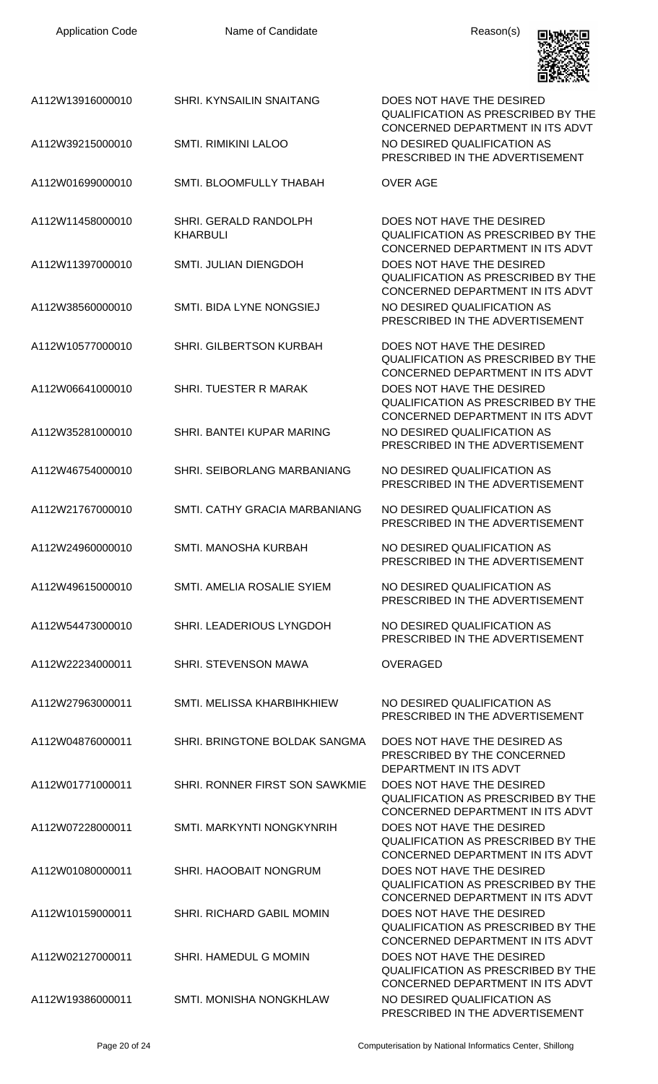| <b>Application Code</b> | Name of Candidate                        | Reason(s)                                                                                                  |
|-------------------------|------------------------------------------|------------------------------------------------------------------------------------------------------------|
| A112W13916000010        | <b>SHRI. KYNSAILIN SNAITANG</b>          | DOES NOT HAVE THE DESIRED<br><b>QUALIFICATION AS PRESCRIBED BY THE</b><br>CONCERNED DEPARTMENT IN ITS ADVT |
| A112W39215000010        | <b>SMTI. RIMIKINI LALOO</b>              | NO DESIRED QUALIFICATION AS<br>PRESCRIBED IN THE ADVERTISEMENT                                             |
| A112W01699000010        | SMTI. BLOOMFULLY THABAH                  | <b>OVER AGE</b>                                                                                            |
| A112W11458000010        | SHRI. GERALD RANDOLPH<br><b>KHARBULI</b> | DOES NOT HAVE THE DESIRED<br><b>QUALIFICATION AS PRESCRIBED BY THE</b><br>CONCERNED DEPARTMENT IN ITS ADVT |
| A112W11397000010        | <b>SMTI. JULIAN DIENGDOH</b>             | DOES NOT HAVE THE DESIRED<br><b>QUALIFICATION AS PRESCRIBED BY THE</b><br>CONCERNED DEPARTMENT IN ITS ADVT |
| A112W38560000010        | SMTI, BIDA LYNE NONGSIEJ                 | NO DESIRED QUALIFICATION AS<br>PRESCRIBED IN THE ADVERTISEMENT                                             |
| A112W10577000010        | <b>SHRI. GILBERTSON KURBAH</b>           | DOES NOT HAVE THE DESIRED<br><b>QUALIFICATION AS PRESCRIBED BY THE</b><br>CONCERNED DEPARTMENT IN ITS ADVT |
| A112W06641000010        | SHRI. TUESTER R MARAK                    | DOES NOT HAVE THE DESIRED<br><b>QUALIFICATION AS PRESCRIBED BY THE</b><br>CONCERNED DEPARTMENT IN ITS ADVT |
| A112W35281000010        | SHRI. BANTEI KUPAR MARING                | NO DESIRED QUALIFICATION AS<br>PRESCRIBED IN THE ADVERTISEMENT                                             |
| A112W46754000010        | SHRI. SEIBORLANG MARBANIANG              | NO DESIRED QUALIFICATION AS<br>PRESCRIBED IN THE ADVERTISEMENT                                             |
| A112W21767000010        | SMTI. CATHY GRACIA MARBANIANG            | NO DESIRED QUALIFICATION AS<br>PRESCRIBED IN THE ADVERTISEMENT                                             |
| A112W24960000010        | SMTI. MANOSHA KURBAH                     | NO DESIRED QUALIFICATION AS<br>PRESCRIBED IN THE ADVERTISEMENT                                             |
| A112W49615000010        | SMTI. AMELIA ROSALIE SYIEM               | NO DESIRED QUALIFICATION AS<br>PRESCRIBED IN THE ADVERTISEMENT                                             |
| A112W54473000010        | SHRI. LEADERIOUS LYNGDOH                 | NO DESIRED QUALIFICATION AS<br>PRESCRIBED IN THE ADVERTISEMENT                                             |
| A112W22234000011        | <b>SHRI. STEVENSON MAWA</b>              | <b>OVERAGED</b>                                                                                            |
| A112W27963000011        | SMTI. MELISSA KHARBIHKHIEW               | NO DESIRED QUALIFICATION AS<br>PRESCRIBED IN THE ADVERTISEMENT                                             |
| A112W04876000011        | SHRI. BRINGTONE BOLDAK SANGMA            | DOES NOT HAVE THE DESIRED AS<br>PRESCRIBED BY THE CONCERNED<br>DEPARTMENT IN ITS ADVT                      |
| A112W01771000011        | SHRI. RONNER FIRST SON SAWKMIE           | DOES NOT HAVE THE DESIRED<br><b>QUALIFICATION AS PRESCRIBED BY THE</b><br>CONCERNED DEPARTMENT IN ITS ADVT |
| A112W07228000011        | SMTI. MARKYNTI NONGKYNRIH                | DOES NOT HAVE THE DESIRED<br><b>QUALIFICATION AS PRESCRIBED BY THE</b><br>CONCERNED DEPARTMENT IN ITS ADVT |
| A112W01080000011        | SHRI. HAOOBAIT NONGRUM                   | DOES NOT HAVE THE DESIRED<br><b>QUALIFICATION AS PRESCRIBED BY THE</b><br>CONCERNED DEPARTMENT IN ITS ADVT |
| A112W10159000011        | SHRI. RICHARD GABIL MOMIN                | DOES NOT HAVE THE DESIRED<br><b>QUALIFICATION AS PRESCRIBED BY THE</b><br>CONCERNED DEPARTMENT IN ITS ADVT |
| A112W02127000011        | SHRI. HAMEDUL G MOMIN                    | DOES NOT HAVE THE DESIRED<br><b>QUALIFICATION AS PRESCRIBED BY THE</b><br>CONCERNED DEPARTMENT IN ITS ADVT |
| A112W19386000011        | SMTI. MONISHA NONGKHLAW                  | NO DESIRED QUALIFICATION AS<br>PRESCRIBED IN THE ADVERTISEMENT                                             |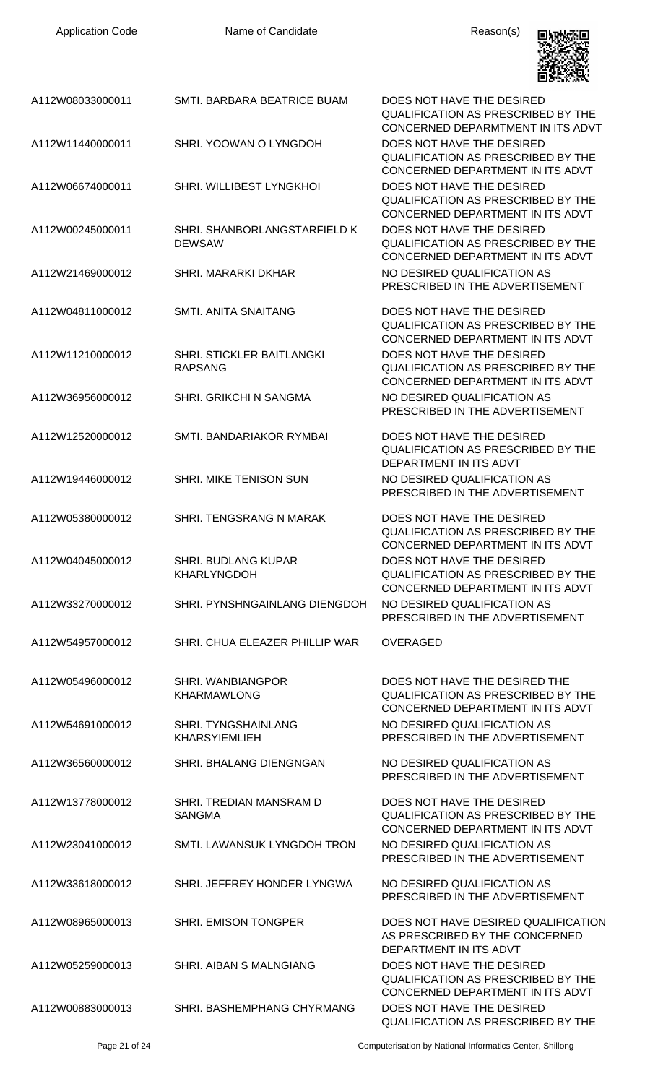| <b>Application Code</b> | Name of Candidate                                  | Reason(s)                                                                                                      |
|-------------------------|----------------------------------------------------|----------------------------------------------------------------------------------------------------------------|
| A112W08033000011        | SMTI. BARBARA BEATRICE BUAM                        | DOES NOT HAVE THE DESIRED<br><b>QUALIFICATION AS PRESCRIBED BY THE</b><br>CONCERNED DEPARMTMENT IN ITS ADVT    |
| A112W11440000011        | SHRI. YOOWAN O LYNGDOH                             | DOES NOT HAVE THE DESIRED<br><b>QUALIFICATION AS PRESCRIBED BY THE</b><br>CONCERNED DEPARTMENT IN ITS ADVT     |
| A112W06674000011        | SHRI. WILLIBEST LYNGKHOI                           | DOES NOT HAVE THE DESIRED<br><b>QUALIFICATION AS PRESCRIBED BY THE</b><br>CONCERNED DEPARTMENT IN ITS ADVT     |
| A112W00245000011        | SHRI. SHANBORLANGSTARFIELD K<br><b>DEWSAW</b>      | DOES NOT HAVE THE DESIRED<br><b>QUALIFICATION AS PRESCRIBED BY THE</b><br>CONCERNED DEPARTMENT IN ITS ADVT     |
| A112W21469000012        | SHRI. MARARKI DKHAR                                | NO DESIRED QUALIFICATION AS<br>PRESCRIBED IN THE ADVERTISEMENT                                                 |
| A112W04811000012        | SMTI. ANITA SNAITANG                               | DOES NOT HAVE THE DESIRED<br><b>QUALIFICATION AS PRESCRIBED BY THE</b><br>CONCERNED DEPARTMENT IN ITS ADVT     |
| A112W11210000012        | SHRI. STICKLER BAITLANGKI<br><b>RAPSANG</b>        | DOES NOT HAVE THE DESIRED<br><b>QUALIFICATION AS PRESCRIBED BY THE</b><br>CONCERNED DEPARTMENT IN ITS ADVT     |
| A112W36956000012        | SHRI. GRIKCHI N SANGMA                             | NO DESIRED QUALIFICATION AS<br>PRESCRIBED IN THE ADVERTISEMENT                                                 |
| A112W12520000012        | SMTI. BANDARIAKOR RYMBAI                           | DOES NOT HAVE THE DESIRED<br><b>QUALIFICATION AS PRESCRIBED BY THE</b><br>DEPARTMENT IN ITS ADVT               |
| A112W19446000012        | <b>SHRI. MIKE TENISON SUN</b>                      | NO DESIRED QUALIFICATION AS<br>PRESCRIBED IN THE ADVERTISEMENT                                                 |
| A112W05380000012        | SHRI. TENGSRANG N MARAK                            | DOES NOT HAVE THE DESIRED<br><b>QUALIFICATION AS PRESCRIBED BY THE</b><br>CONCERNED DEPARTMENT IN ITS ADVT     |
| A112W04045000012        | <b>SHRI. BUDLANG KUPAR</b><br><b>KHARLYNGDOH</b>   | DOES NOT HAVE THE DESIRED<br><b>QUALIFICATION AS PRESCRIBED BY THE</b><br>CONCERNED DEPARTMENT IN ITS ADVT     |
| A112W33270000012        | <b>SHRI. PYNSHNGAINLANG DIENGDOH</b>               | NO DESIRED QUALIFICATION AS<br>PRESCRIBED IN THE ADVERTISEMENT                                                 |
| A112W54957000012        | SHRI. CHUA ELEAZER PHILLIP WAR                     | <b>OVERAGED</b>                                                                                                |
| A112W05496000012        | <b>SHRI. WANBIANGPOR</b><br><b>KHARMAWLONG</b>     | DOES NOT HAVE THE DESIRED THE<br><b>QUALIFICATION AS PRESCRIBED BY THE</b><br>CONCERNED DEPARTMENT IN ITS ADVT |
| A112W54691000012        | <b>SHRI. TYNGSHAINLANG</b><br><b>KHARSYIEMLIEH</b> | NO DESIRED QUALIFICATION AS<br>PRESCRIBED IN THE ADVERTISEMENT                                                 |
| A112W36560000012        | SHRI. BHALANG DIENGNGAN                            | NO DESIRED QUALIFICATION AS<br>PRESCRIBED IN THE ADVERTISEMENT                                                 |
| A112W13778000012        | SHRI. TREDIAN MANSRAM D<br><b>SANGMA</b>           | DOES NOT HAVE THE DESIRED<br><b>QUALIFICATION AS PRESCRIBED BY THE</b><br>CONCERNED DEPARTMENT IN ITS ADVT     |
| A112W23041000012        | SMTI. LAWANSUK LYNGDOH TRON                        | NO DESIRED QUALIFICATION AS<br>PRESCRIBED IN THE ADVERTISEMENT                                                 |
| A112W33618000012        | SHRI. JEFFREY HONDER LYNGWA                        | NO DESIRED QUALIFICATION AS<br>PRESCRIBED IN THE ADVERTISEMENT                                                 |
| A112W08965000013        | <b>SHRI. EMISON TONGPER</b>                        | DOES NOT HAVE DESIRED QUALIFICATION<br>AS PRESCRIBED BY THE CONCERNED<br>DEPARTMENT IN ITS ADVT                |
| A112W05259000013        | SHRI. AIBAN S MALNGIANG                            | DOES NOT HAVE THE DESIRED<br><b>QUALIFICATION AS PRESCRIBED BY THE</b><br>CONCERNED DEPARTMENT IN ITS ADVT     |
| A112W00883000013        | SHRI. BASHEMPHANG CHYRMANG                         | DOES NOT HAVE THE DESIRED<br>QUALIFICATION AS PRESCRIBED BY THE                                                |

Page 21 of 24 Computerisation by National Informatics Center, Shillong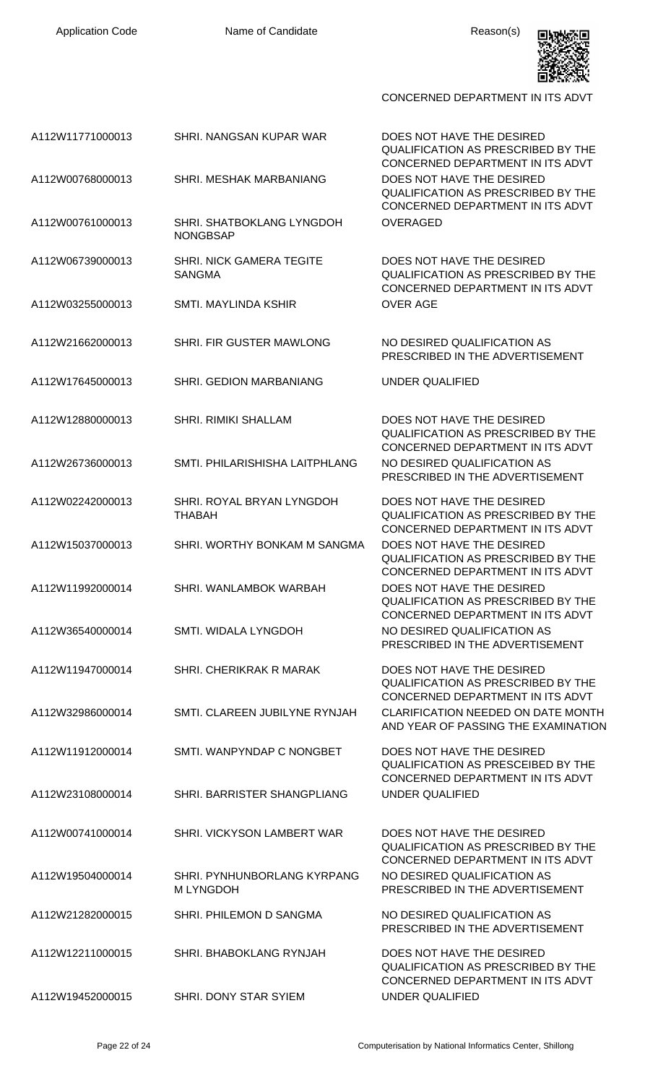

| A112W00768000013 | SHRI. MESHAK MARBANIANG                          | QUALIFICA<br><b>CONCERNI</b><br><b>DOES NOT</b>        |
|------------------|--------------------------------------------------|--------------------------------------------------------|
|                  |                                                  | <b>QUALIFICA</b><br><b>CONCERNI</b>                    |
| A112W00761000013 | SHRI. SHATBOKLANG LYNGDOH<br>NONGBSAP            | <b>OVERAGEI</b>                                        |
| A112W06739000013 | <b>SHRI. NICK GAMERA TEGITE</b><br><b>SANGMA</b> | <b>DOES NOT</b><br><b>QUALIFICA</b><br><b>CONCERNI</b> |
| A112W03255000013 | <b>SMTI. MAYLINDA KSHIR</b>                      | <b>OVER AGE</b>                                        |
| A112W21662000013 | SHRI. FIR GUSTER MAWLONG                         | <b>NO DESIRE</b><br><b>PRESCRIB</b>                    |
| A112W17645000013 | SHRI. GEDION MARBANIANG                          | <b>UNDER QU</b>                                        |
|                  |                                                  |                                                        |

A112W26736000013 SMTI. PHILARISHISHA LAITPHLANG NO DESIRED QUALIFICATION AS

A112W02242000013 SHRI. ROYAL BRYAN LYNGDOH THABAH

A112W15037000013 SHRI. WORTHY BONKAM M SANGMA DOES NOT HAVE THE DESIRED

A112W11992000014 SHRI. WANLAMBOK WARBAH DOES NOT HAVE THE DESIRED

A112W36540000014 SMTI. WIDALA LYNGDOH NO DESIRED QUALIFICATION AS

A112W11947000014 SHRI. CHERIKRAK R MARAK DOES NOT HAVE THE DESIRED

A112W32986000014 SMTI. CLAREEN JUBILYNE RYNJAH CLARIFICATION NEEDED ON DATE MONTH

A112W11912000014 SMTI. WANPYNDAP C NONGBET DOES NOT HAVE THE DESIRED

A112W23108000014 SHRI. BARRISTER SHANGPLIANG UNDER QUALIFIED

A112W00741000014 SHRI. VICKYSON LAMBERT WAR DOES NOT HAVE THE DESIRED

A112W19504000014 SHRI. PYNHUNBORLANG KYRPANG M LYNGDOH

A112W21282000015 SHRI. PHILEMON D SANGMA NO DESIRED QUALIFICATION AS

A112W12211000015 SHRI. BHABOKLANG RYNJAH DOES NOT HAVE THE DESIRED

A112W19452000015 SHRI. DONY STAR SYIEM UNDER QUALIFIED

A112W11771000013 SHRI. NANGSAN KUPAR WAR DOES NOT HAVE THE DESIRED LIFICATION AS PRESCRIBED BY THE ICERNED DEPARTMENT IN ITS ADVT **S NOT HAVE THE DESIRED** LIFICATION AS PRESCRIBED BY THE ICERNED DEPARTMENT IN ITS ADVT RAGED

> S NOT HAVE THE DESIRED LIFICATION AS PRESCRIBED BY THE ICERNED DEPARTMENT IN ITS ADVT

DESIRED QUALIFICATION AS SCRIBED IN THE ADVERTISEMENT

**ER QUALIFIED** 

A112W12880000013 SHRI. RIMIKI SHALLAM DOES NOT HAVE THE DESIRED QUALIFICATION AS PRESCRIBED BY THE CONCERNED DEPARTMENT IN ITS ADVT PRESCRIBED IN THE ADVERTISEMENT

> DOES NOT HAVE THE DESIRED QUALIFICATION AS PRESCRIBED BY THE CONCERNED DEPARTMENT IN ITS ADVT QUALIFICATION AS PRESCRIBED BY THE CONCERNED DEPARTMENT IN ITS ADVT QUALIFICATION AS PRESCRIBED BY THE CONCERNED DEPARTMENT IN ITS ADVT PRESCRIBED IN THE ADVERTISEMENT

QUALIFICATION AS PRESCRIBED BY THE CONCERNED DEPARTMENT IN ITS ADVT AND YEAR OF PASSING THE EXAMINATION

QUALIFICATION AS PRESCEIBED BY THE CONCERNED DEPARTMENT IN ITS ADVT

QUALIFICATION AS PRESCRIBED BY THE CONCERNED DEPARTMENT IN ITS ADVT NO DESIRED QUALIFICATION AS PRESCRIBED IN THE ADVERTISEMENT

PRESCRIBED IN THE ADVERTISEMENT

QUALIFICATION AS PRESCRIBED BY THE CONCERNED DEPARTMENT IN ITS ADVT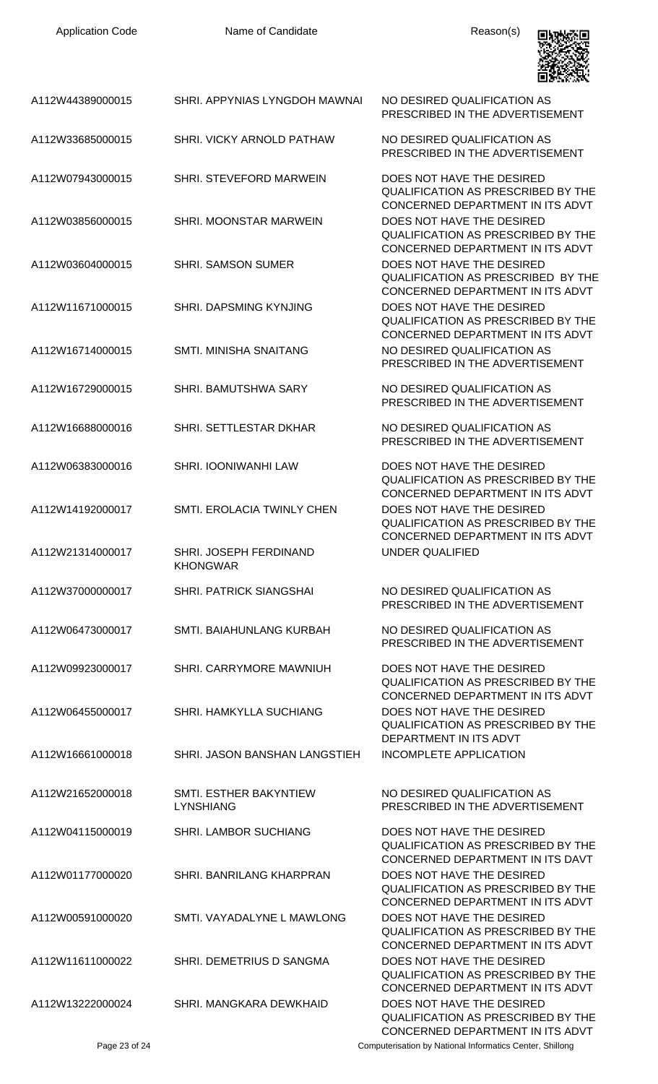

| A112W44389000015 | SHRI. APPYNIAS LYNGDOH MAWNAI              | NO DESIRED QUALIFICATION AS<br>PRESCRIBED IN THE ADVERTISEMENT                                                                          |
|------------------|--------------------------------------------|-----------------------------------------------------------------------------------------------------------------------------------------|
| A112W33685000015 | <b>SHRI. VICKY ARNOLD PATHAW</b>           | NO DESIRED QUALIFICATION AS<br>PRESCRIBED IN THE ADVERTISEMENT                                                                          |
| A112W07943000015 | SHRI. STEVEFORD MARWEIN                    | DOES NOT HAVE THE DESIRED<br>QUALIFICATION AS PRESCRIBED BY THE<br>CONCERNED DEPARTMENT IN ITS ADVT                                     |
| A112W03856000015 | SHRI. MOONSTAR MARWEIN                     | DOES NOT HAVE THE DESIRED<br><b>QUALIFICATION AS PRESCRIBED BY THE</b><br>CONCERNED DEPARTMENT IN ITS ADVT                              |
| A112W03604000015 | <b>SHRI. SAMSON SUMER</b>                  | DOES NOT HAVE THE DESIRED<br><b>QUALIFICATION AS PRESCRIBED BY THE</b>                                                                  |
| A112W11671000015 | SHRI. DAPSMING KYNJING                     | CONCERNED DEPARTMENT IN ITS ADVT<br>DOES NOT HAVE THE DESIRED<br>QUALIFICATION AS PRESCRIBED BY THE                                     |
| A112W16714000015 | SMTI. MINISHA SNAITANG                     | CONCERNED DEPARTMENT IN ITS ADVT<br>NO DESIRED QUALIFICATION AS<br>PRESCRIBED IN THE ADVERTISEMENT                                      |
| A112W16729000015 | SHRI. BAMUTSHWA SARY                       | NO DESIRED QUALIFICATION AS<br>PRESCRIBED IN THE ADVERTISEMENT                                                                          |
| A112W16688000016 | SHRI. SETTLESTAR DKHAR                     | NO DESIRED QUALIFICATION AS<br>PRESCRIBED IN THE ADVERTISEMENT                                                                          |
| A112W06383000016 | SHRI. IOONIWANHI LAW                       | DOES NOT HAVE THE DESIRED<br>QUALIFICATION AS PRESCRIBED BY THE<br>CONCERNED DEPARTMENT IN ITS ADVT                                     |
| A112W14192000017 | <b>SMTI. EROLACIA TWINLY CHEN</b>          | DOES NOT HAVE THE DESIRED<br>QUALIFICATION AS PRESCRIBED BY THE<br>CONCERNED DEPARTMENT IN ITS ADVT                                     |
| A112W21314000017 | SHRI. JOSEPH FERDINAND<br><b>KHONGWAR</b>  | <b>UNDER QUALIFIED</b>                                                                                                                  |
| A112W37000000017 | <b>SHRI. PATRICK SIANGSHAI</b>             | NO DESIRED QUALIFICATION AS<br>PRESCRIBED IN THE ADVERTISEMENT                                                                          |
| A112W06473000017 | SMTI. BAIAHUNLANG KURBAH                   | NO DESIRED QUALIFICATION AS<br>PRESCRIBED IN THE ADVERTISEMENT                                                                          |
| A112W09923000017 | SHRI. CARRYMORE MAWNIUH                    | DOES NOT HAVE THE DESIRED<br><b>QUALIFICATION AS PRESCRIBED BY THE</b><br>CONCERNED DEPARTMENT IN ITS ADVT                              |
| A112W06455000017 | SHRI. HAMKYLLA SUCHIANG                    | DOES NOT HAVE THE DESIRED<br>QUALIFICATION AS PRESCRIBED BY THE<br>DEPARTMENT IN ITS ADVT                                               |
| A112W16661000018 | SHRI. JASON BANSHAN LANGSTIEH              | <b>INCOMPLETE APPLICATION</b>                                                                                                           |
| A112W21652000018 | SMTI. ESTHER BAKYNTIEW<br><b>LYNSHIANG</b> | NO DESIRED QUALIFICATION AS<br>PRESCRIBED IN THE ADVERTISEMENT                                                                          |
| A112W04115000019 | <b>SHRI. LAMBOR SUCHIANG</b>               | DOES NOT HAVE THE DESIRED<br>QUALIFICATION AS PRESCRIBED BY THE<br>CONCERNED DEPARTMENT IN ITS DAVT                                     |
| A112W01177000020 | SHRI. BANRILANG KHARPRAN                   | DOES NOT HAVE THE DESIRED<br>QUALIFICATION AS PRESCRIBED BY THE<br>CONCERNED DEPARTMENT IN ITS ADVT                                     |
| A112W00591000020 | SMTI. VAYADALYNE L MAWLONG                 | DOES NOT HAVE THE DESIRED<br><b>QUALIFICATION AS PRESCRIBED BY THE</b>                                                                  |
| A112W11611000022 | SHRI. DEMETRIUS D SANGMA                   | CONCERNED DEPARTMENT IN ITS ADVT<br>DOES NOT HAVE THE DESIRED<br>QUALIFICATION AS PRESCRIBED BY THE                                     |
| A112W13222000024 | SHRI. MANGKARA DEWKHAID                    | CONCERNED DEPARTMENT IN ITS ADVT<br>DOES NOT HAVE THE DESIRED<br>QUALIFICATION AS PRESCRIBED BY THE<br>CONCERNED DEPARTMENT IN ITS ADVT |